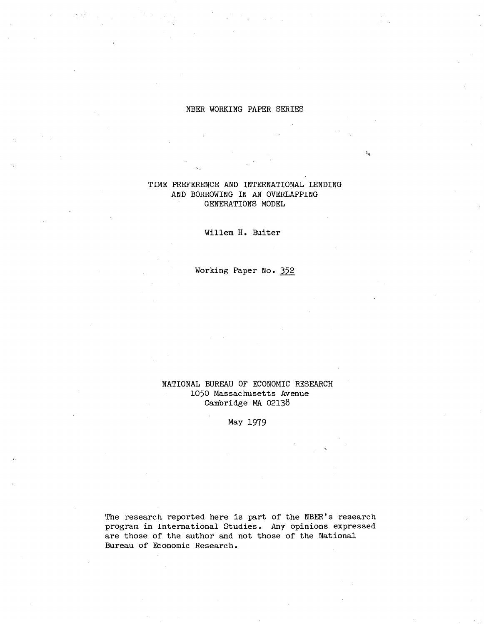#### NBER WORKING PAPER SERIES

# TIME PREFERENCE AND INTERNATIONAL LENDING AND BORROWING IN AN OVERLAPPING GENERATIONS MODEL

Willem **H.** Buiter

Working Paper **No.** 352

NATIONAL BUREAU OF ECONOMIC RESEARCH 1050 Massachusetts Avenue Cambridge MA 02138

May 1979

'The research reported here is part of the NBER's research program in International Studies. Any opinions expressed are those of the author and not those of the National Bureau of Economic Research.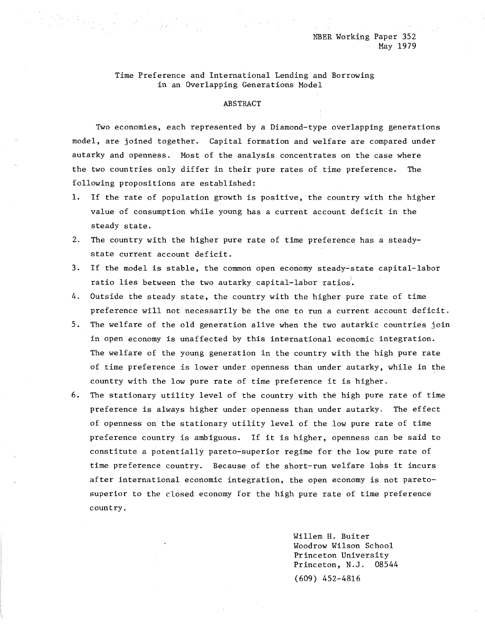Time Preference and International Lending and Borrowing in an Overlapping Generations Model

#### ABSTRACT

Two economies, each represented by a Diamond-type overlapping generations model, are joined together. Capital formation and welfare are compared under autarky and openness. Most of the analysis concentrates on the case where the two countries only differ in their pure rates of time preference. The following propositions are established:

- 1. If the rate of population growth is positive, the country with the higher value of consumption while young has a current account deficit in the steady state.
- 2. The country with the higher pure rate of time preference has a steadystate current account deficit.
- 3. If the model is stable, the common open economy steady-state capital-labor ratio lies between the two autarky capital-labor ratios'.
- 4. Outside the steady state, the country with the higher pure rate of time preference will not necessarily be the one to run a current account deficit.
- 5. The welfare of the old generation alive when the two autarkic countries join in open economy is unaffected by this international economic integration. The welfare of the young generation in the country with the high pure rate of time preference is lower under openness than under autarky, while in the country with the low pure rate of time preference it is higher.
- 6. The stationary utility level of the country with the high pure rate of time preference is always higher under openness than under autarky. The effect of openness on the stationary utility level of the low pure rate of time preference country is ambiguous. If it is higher, openness can be said to constitute a potentially pareto-superior regime for the low pure rate of time preference country. Because of the short-run welfare loss it incurs after international economic integration, the open economy is not paretosuperior to the closed economy for the high pure rate of time preference country.

Willem H. Buiter Woodrow Wilson School Princeton University Princeton, N.J. 08544 (609) 452-4816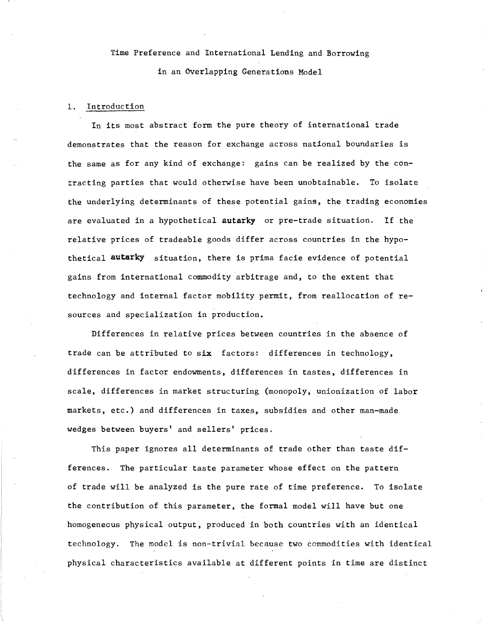# Time Preference and International Lending and Borrowing in an Overlapping Generations Model

### 1. Introduction

In its most abstract form the pure theory of international trade demonstrates that the reason for exchange across national boundaries is the same as for any kind of exchange: gains can be realized by the contracting parties that would otherwise have been unobtainable. To isolate the underlying determinants of these potential gains, the trading economies are evaluated in a hypothetical **autarky** or pre-trade situation. If the relative prices of tradeable goods differ across countries in the hypothetical **autarky** situation, there is prima facie evidence of potential gains from international commodity arbitrage and, to the extent that technology and internal factor mobility permit, from reallocation of resources and specialization in production.

Differences in relative prices between countries in the absence of trade can be attributed to six factors: differences in technology, differences in factor endowments, differences in tastes, differences in scale, differences in market structuring (monopoly, unionization of labor markets, etc.) and differences in taxes, subsidies and other man-made wedges between buyers' and sellers' prices.

This paper ignores all determinants of trade other than taste differences. The particular taste parameter whose effect on the pattern of trade will be analyzed is the pure rate of time preference. To isolate the contribution of this parameter, the formal model will have but one homogeneous physical output, produced in both countries with an identical technology. The model is non-trivial because two commodities with identical physical characteristics available at different points in time are distinct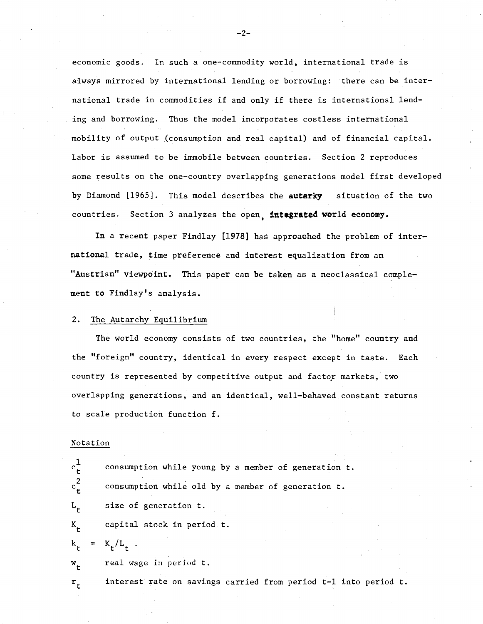economic goods. In such a one-commodity world, international trade is always mirrored by international lending or borrowing: there can be international trade in commodities if and only if there is international lending and borrowing. Thus the model incorporates costless international mobility of output (consumption and real capital) and of financial capital. Labor is assumed to be immobile between countries. Section 2 reproduces some results on the one-country overlapping generations model first developed by Diamond [1965]. This model describes the **autarky** situation of the two countries. Section 3 analyzes the open, **integrated** world eeonomy.

In a recent paper Findlay [1978] has approached the problem of international trade, time preference and interest equalization from an "Austrian" viewpoint. This paper can be taken as a neoclassical complement to Findlay's analysis.

#### 2. The Autarchy Equilibrium

The world economy consists of two countries, the "home" country and the "foreign" country, identical in every respect except in taste. Each country is represented by competitive output and factor markets, two overlapping generations, and an identical, well-behaved constant returns to scale production function f.

#### Notation

 $c$ <sup>2</sup> $t$ L t K t

r t

 $\mathrm{c_{t}^{1}}$ 

consumption while young by <sup>a</sup> member of generation t. consumption while old by a member of generation t. size of generation t. capital stock in period t.

$$
k_t = K_t/L_t
$$

w t real wage in period t.

interest rate on savings carried from period t-l into period t.

 $-2-$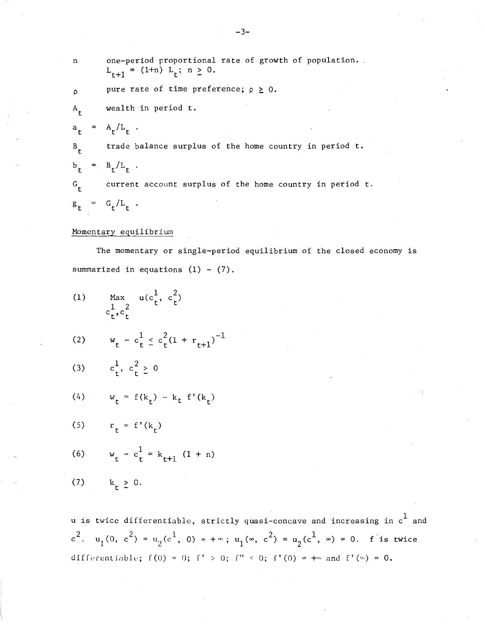| n           | one-period proportional rate of growth of population.<br>$L_{r+1} = (1+n) L_r; n \ge 0.$ |
|-------------|------------------------------------------------------------------------------------------|
| $\Omega$    | pure rate of time preference; $\rho \geq 0$ .                                            |
| $A_{\perp}$ | wealth in period t.                                                                      |
| $a_t$       | $= A_{r}/L_{r}$ .                                                                        |
| $B_{\mu}$   | trade balance surplus of the home country in period t.                                   |
|             | $b_{r} = B_{r}/L_{r}$ .                                                                  |
| $G_{\mu}$   | current account surplus of the home country in period t.                                 |
|             | $g_{r} = G_{r}/L_{r}$ .                                                                  |

# Momentary equilibrium

The momentary or single-period equilibrium of the closed economy is summarized in equations  $(1) - (7)$ .

(1) Max 
$$
u(c_t^1, c_t^2)
$$
  
\n $c_t^1, c_t^2$   
\n(2)  $w_t - c_t^1 \le c_t^2 (1 + r_{t+1})^{-1}$   
\n(3)  $c_t^1, c_t^2 \ge 0$   
\n(4)  $w_t = f(k_t) - k_t f'(k_t)$   
\n(5)  $r_t = f'(k_t)$   
\n(6)  $w_t - c_t^1 = k_{t+1} (1 + n)$   
\n(7)  $k_t \ge 0$ .

u is twice differentiable, strictly quasi-concave and increasing in  ${\rm c}^1$  and 2  $(0, 2) = 16^1$ (7)  $k_t \ge 0$ .<br>
u is twice differentiable, strictly quasi-concave and increasing<br>  $c^2$ .  $u_1(0, c^2) = u_2(c^1, 0) = +\infty$ ;  $u_1(\infty, c^2) = u_2(c^1, \infty) = 0$ . f  $= u_2(c^1, \infty) = 0.$  f is twice differentiable;  $f(0) = 0$ ;  $f' > 0$ ;  $f'' < 0$ ;  $f'(0) = +\infty$  and  $f'(0) = 0$ .

-3-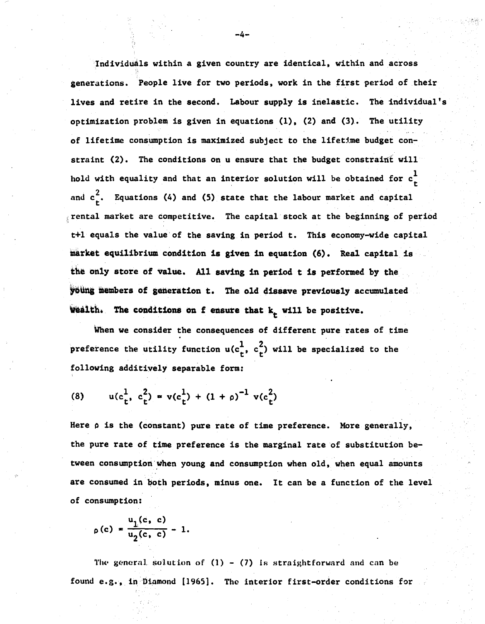Individuals within a given country are identical, within and across generations. People live for two periods, work in the first period of their lives and retire in the second. Labour supply is inelastic. The individual's optimization problem is given in equations (1), (2) and (3). The utility of lifetime consumption is maximized subject to the lifetime budget constraint (2). The conditions on u ensure that the budget constraint will hold with equality and that an interior solution will be obtained for  ${\rm c\frac{l}{t}}$ and  $c<sub>r</sub><sup>2</sup>$ . Equations (4) and (5) state that the labour market and capital  $\frac{1}{3}$  rental market are competitive. The capital stock at the beginning of period t+l equals the value'of the saving in period t. This economy-wide capital market equilibrium condition is given in equation (6). Real capital is the only store of value. All saving in period t is performed by the young members of generation t. The old dissave previously accumulated Wealth. The conditions on f ensure that  $k_t$  will be positive.

-4-

When we consider the consequences of different pure rates of time preference the utility function  $u(c<sub>t</sub><sup>1</sup>, c<sub>t</sub><sup>2</sup>)$  will be specialized to the following additively separable form:

(8) 
$$
u(c_t^1, c_t^2) = v(c_t^1) + (1 + \rho)^{-1} v(c_t^2)
$$

Here  $\rho$  is the (constant) pure rate of time preference. More generally, the pure rate of time preference is the marginal rate of substitution between consumption when young and consumption when old, when equal amounts are consumed in both periods, minus one. It can be a function of the level of consumption:

$$
\rho(c) = \frac{u_1(c, c)}{u_2(c, c)} - 1.
$$

The general solution of  $(1)$  -  $(7)$  is straightforward and can be found  $e.g.,$  in Diamond [1965]. The interior first-order conditions for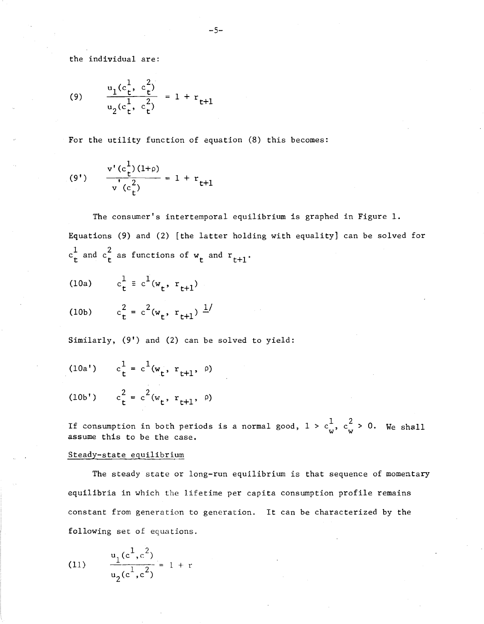the individual are:

(9) 
$$
\frac{u_1(c_t^1, c_t^2)}{u_2(c_t^1, c_t^2)} = 1 + r_{t+1}
$$

For the utility function of equation (8) this becomes:

(9') 
$$
\frac{v'(c_{t}^{1})(1+\rho)}{v'(c_{t}^{2})} = 1 + r_{t+1}
$$

The consumer's intertemporal equilibrium is graphed in Figure 1. Equations (9) and (2) [the latter holding with equality] can be solved for  $c_t^1$  and  $c_t^2$  as functions of  $w_t$  and  $r_{t+1}$ .

(10a) 
$$
c_t^1 \equiv c^1(w_t, r_{t+1})
$$

(10b) 
$$
c_t^2 = c^2(w_t, r_{t+1})^2
$$

Similarly, (9') and (2) can be solved to yield:

$$
(10a') \t c_t^1 = c^1(w_t, r_{t+1}, \rho)
$$

$$
(10b') \t c_t^2 = c^2 (w_t, r_{t+1}, \rho)
$$

If consumption in both periods is a normal good,  $1 > c_w^1$ ,  $c_w^2 > 0$ . We shall assume this to be the case.

#### Steady-state equilibrium

The steady state or long-run equilibrium is that sequence of momentary equilibria in which the lifetime per capita consumption profile remains constant from generation to generation. It can be characterized by the following set of equations.

(11) 
$$
\frac{u_1(c^1, c^2)}{u_2(c^1, c^2)} = 1 + r
$$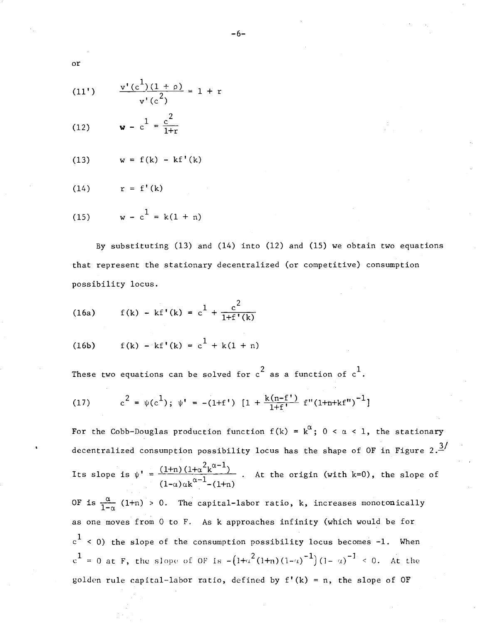(11') 
$$
\frac{v'(c^1)(1+\rho)}{v'(c^2)} = 1 + i
$$

(12) 
$$
\mathbf{w} - c^1 = \frac{c^2}{1+r}
$$

or

$$
(13) \qquad w = f(k) - kf'(k)
$$

(14)  $r = f'(k)$ 

(15) 
$$
w - c^1 = k(1 + n)
$$

By substituting (13) and (14) into (12) and (15) we obtain two equations that represent the stationary decentralized (or competitive) consumption possibility locus.

(16a) 
$$
f(k) - kf'(k) = c^1 + \frac{c^2}{1 + f'(k)}
$$

(16b) 
$$
f(k) - k f'(k) = c^1 + k(1 + n)
$$

These two equations can be solved for  $\mathfrak c^2$  as a function of  $\mathfrak c^1.$ 

(17) 
$$
c^{2} = \psi(c^{1}); \psi' = -(1+f') [1 + \frac{k(n-f')}{1+f'} f''(1+n+kf'')^{-1}]
$$

At the origin (with k=0), the slope of For the Cobb-Douglas production function  $f(k)$  =  $k^{\alpha}$ ; 0 <  $\alpha$  < 1, the stationary decentralized consumption possibility locus has the shape of OF in Figure 2. $\frac{3}{4}$  $=\frac{(1+n) (1+\alpha^2 k^{\alpha-1})}{(1-\alpha) \alpha k^{\alpha-1} - (1+n)}$ Its slope is  $\psi^+$ 

OF is  $\frac{\alpha}{1-\alpha}$  (1+n) > 0. The capital-labor ratio, k, increases monotonically as one moves from 0 to F. As k approaches infinity (which would be for  ${\rm c}^1$  < 0) the slope of the consumption possibility locus becomes -1. When  $c^1$  = 0 at F, the slope of OF is  $-\left(1+\alpha^2(1+n)(1-\alpha)^{-1}\right)(1-\alpha)^{-1} < 0$ . At the golden rule capital-labor ratio, defined by  $f'(k) = n$ , the slope of OF

-6-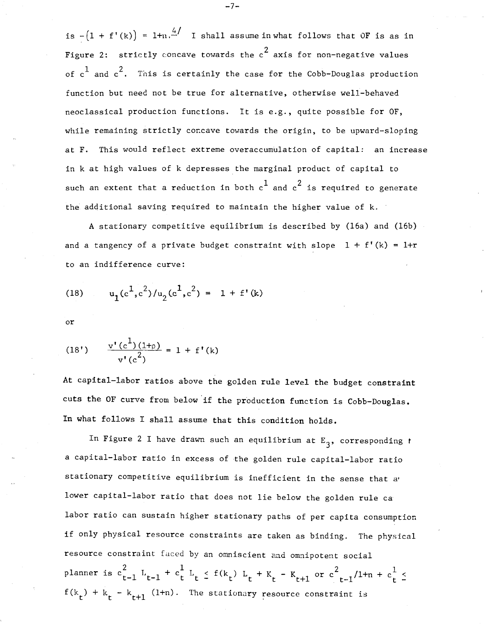is  $-(1 + f'(k)) = 1+n \frac{4}{n}$  I shall assume in what follows that OF is as in Figure 2:  $\,$  strictly concave towards the  $\,^2$  axis for non-negative values of  $\text{c}^1$  and  $\text{c}^2.$  This is certainly the case for the Cobb-Douglas production function but need not be true for alternative, otherwise well-behaved neoclassical production functions. It is e.g., quite possible for OF, while remaining strictly concave towards the origin, to be upward-sloping at F. This would reflect extreme overaccumulation of capital: an increase in k at high values of k depresses the marginal product of capital to such an extent that a reduction in both  $c^1$  and  $c^2$  is required to generate the additional saving required to maintain the higher value of k.

A stationary competitive equilibrium is described by (16a) and (16b) and a tangency of a private budget constraint with slope  $1 + f'(k) = 1+r$ to an indifference curve:

(18) 
$$
u_1(c^1, c^2)/u_2(c^1, c^2) = 1 + f'(k)
$$

or

(18') 
$$
\frac{v'(c^1)(1+\rho)}{v'(c^2)} = 1 + f'(k)
$$

At capital-labor ratios above the golden rule level the budget constraint cuts the OF curve from below 'if the production function is Cobb-Douglas. In what follows I shall assume that this condition holds.

In Figure 2 I have drawn such an equilibrium at  $\texttt{E}_{\texttt{3}}^{},$  corresponding  $t$ a capital-labor ratio in excess of the golden rule capital-labor ratio stationary competitive equilibrium is inefficient in the sense that a' lower capital-labor ratio that does not lie below the golden rule ca labor ratio can sustain higher stationary paths of per capita consumption if only physical resource constraints are taken as binding. The physical resource constraint faced by an omniscient and omnipotent social planner is  $c_{t-1}^2$   $L_{t-1}$  +  $c_t^1$   $L_t$   $\leq$   $f(k_t)$   $L_t$  +  $K_t$  -  $K_{t+1}$  or  $c_{t-1}^2/1+n$  +  $c_t^1$   $\leq$  $f(k_t) + k_t - k_{t+1}$  (1+n). The stationary resource constraint is

-7-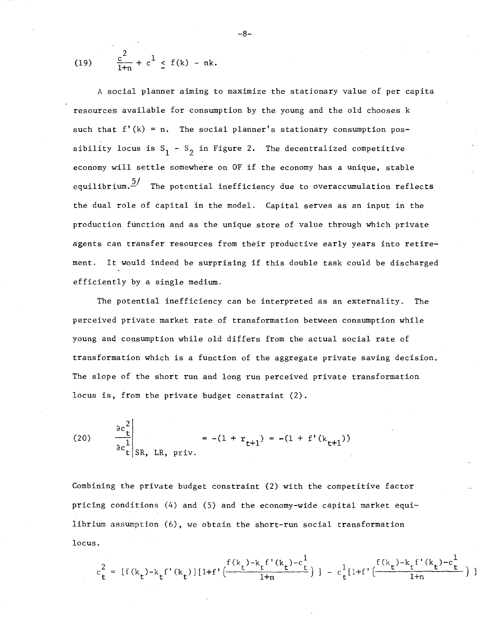(19) 
$$
\frac{c^2}{1+n} + c^1 \le f(k) - nk.
$$

equilibrium. $\frac{5/}{ }$  The potential inefficiency due to overaccumulation reflects A social planner aiming to maximize the stationary value of per capita resources available for consumption by the young and the old chooses k such that  $f'(k) = n$ . The social planner's stationary consumption possibility locus is  $S_1 - S_2$  in Figure 2. The decentralized competitive economy will settle somewhere on OF if the economy has <sup>a</sup> unique, stable the dual role of capital in the model. Capital serves as an input in the production function and as the unique store of value through which private agents can transfer resources from their productive early years into retirement. It would indeed be surprising if this double task could be discharged efficiently by a single medium.

The potential inefficiency can be interpreted as an externality. The perceived private market rate of transformation between consumption while young and consumption while old differs from the actual social rate of transformation which is a function of the aggregate private saving decision. The slope of the short run and long run perceived private transformation locus is, from the private budget constraint (2).

(20) 
$$
\frac{\partial c_t^2}{\partial c_t^2}\Bigg|_{SR, LR, priv.} = -(1 + r_{t+1}) = -(1 + f'(k_{t+1}))
$$

Combining the private budget constraint (2) with the competitive factor pricing conditions (4) and (5) and the economy-wide capital market equilibrium assumption (6), we obtain the short-run social transformation locus.

$$
c_t^2 = [f(k_t) - k_t f'(k_t)][1 + f'\left(\frac{f(k_t) - k_t f'(k_t) - c_t^1}{1 + n}\right)] - c_t^1 [1 + f'\left(\frac{f(k_t) - k_t f'(k_t) - c_t^1}{1 + n}\right)]
$$

-8-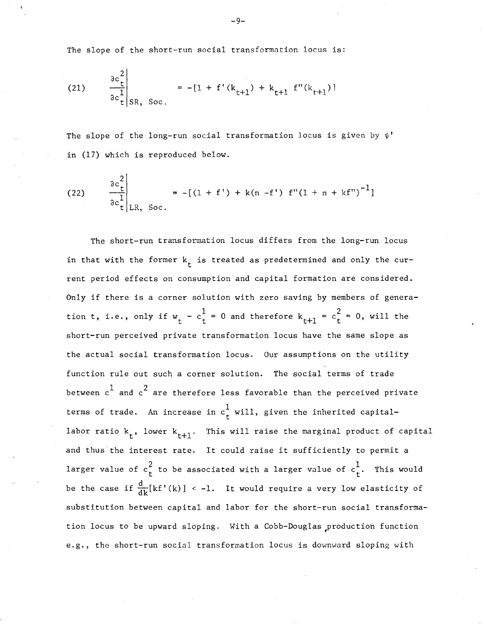The slope of the short-run social transformation locus is:

(21) 
$$
\frac{\partial c_t^2}{\partial c_t^1} \bigg|_{SR, Soc.} = -[1 + f'(k_{t+1}) + k_{t+1} f''(k_{t+1})]
$$

The slope of the long-run social transformation locus is given by  $\psi'$ in (17) which is reproduced below.

(22) 
$$
\frac{\partial c_{t}^{2}}{\partial c_{t}^{1}}\Bigg|_{LR, Soc.} = -[(1 + f') + k(n - f') f''(1 + n + kf'')^{-1}]
$$

The short-run transformation locus differs from the long-run locus in that with the former  $k_t$  is treated as predetermined and only the current period effects on consumption and capital formation are considered. Only if there is <sup>a</sup> corner solution with zero saving by members of genera**tion t, i.e., only if**  $w_t - c_t^1 = 0$  **and therefore**  $k_{t+1} = c_t^2 = 0$ **, will the** short-run perceived private transformation locus have the same slope as the actual social transformation locus. Our assumptions on the utility function rule out such a corner solution. The social terms of trade between  $c^1$  and  $c^2$  are therefore less favorable than the perceived private terms of trade. An increase in  $c^1_{\tau}$  will, given the inherited capitallabor ratio  $k_{t}$ , lower  $k_{t+1}$ . This will raise the marginal product of capital and thus'the interest rate. It could raise it sufficiently to permit <sup>a</sup> larger value of  $c_t^2$  to be associated with a larger value of  $c_t^1$ . This would be the case if  $\frac{d}{dk}[kf'(k)] < -1$ . It would require a very low elasticity of substitution between capital and labor for the short-run social transformation locus to be upward sloping. With <sup>a</sup> Cobb-Douglas ,production function e.g., the short-run social transformation locus is downward sloping with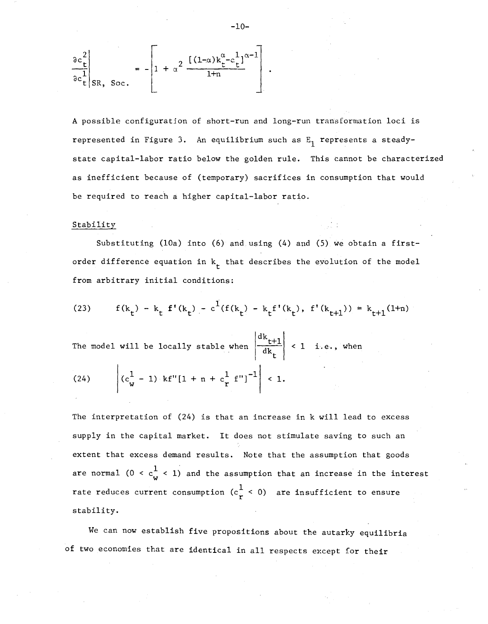$$
\left.\frac{\partial c_t^2}{\partial c_t^1}\right|_{\text{SR, Soc.}} = -\left[1 + \alpha^2 \frac{\left[(1-\alpha)k_t^{\alpha} - c_t^1\right]^{\alpha-1}}{1+n}\right]
$$

A possible configuration of short-run and long-run transformation loci is represented in Figure 3. An equilibrium such as  $E_1$  represents a steadystate capital-labor ratio below the golden rule. This cannot be characterized as inefficient because of (temporary) sacrifices in consumption that would be required to reach a higher capital-labor ratio.

#### Stability

Substituting (lOa) into (6) and using (4) and (5) we obtain <sup>a</sup> firstorder difference equation in  $k_{\mathbf{t}}$  that describes the evolution of the model from arbitrary initial conditions:

(23) 
$$
f(k_t) - k_t f'(k_t) - c^1(f(k_t) - k_t f'(k_t), f'(k_{t+1})) = k_{t+1}(1+n)
$$

The model will be locally stable when  $\begin{vmatrix} dk & t \\ -dt & d\end{vmatrix}$ dk t  $\leq 1$  i.e., when

(24) 
$$
\left| (c_w^1 - 1) \text{ kf}''[1 + n + c_r^1 \text{ f}'']^{-1} \right| < 1.
$$

The interpretation of (24) is that an increase in k will lead to excess supply in the capital market. It does not stimulate saving to such an extent that excess demand results. Note that the assumption that goods are normal (0 <  $c_{\bf w}^{\bf 1}$  < 1) and the assumption that an increase in the interest rate reduces current consumption ( $c \frac{1}{r}$  < 0) are insufficient to ensure stability.

We can now establish five propositions about the autarky equilibria of two economies that are identical in all respects except for their

$$
-10-
$$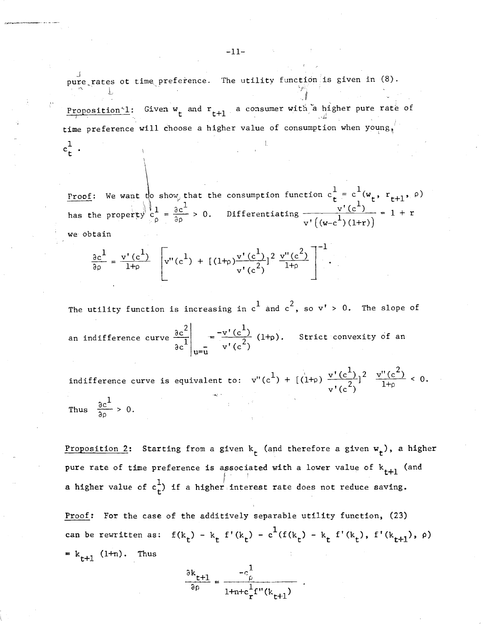pure rates ot time preference. The utility function is given in (8).

Proposition 1: Given  $w_t$  and  $r_{t+1}$  a consumer with a higher pure rate of time preference will choose a higher value of consumption when  $y_{\text{Qupg}}$ 

we obtain Proof: has the We want  $\operatorname{\mathsf{t}}$  show, that the  $\bigcup_{a} \bigcup_{b} \bigcup_{c}$ property  $c_{\rho} = \frac{\partial c}{\partial \rho} > 0$ . consumption function  $c_t^1 = c^1(w_t, r_{t+1}, \rho)$ <br> $v'(c^1)$ consumption function  $c_t^+ = c^+(w_t, r_{t+1},$ <br>Differentiating  $\frac{v'(c^1)}{1-v} = 1 + r$  $v'$   $((w-c^{\perp})(1+r))$ 

$$
\frac{\partial c^1}{\partial \rho} = \frac{v'(c^1)}{1+\rho} \left[ v''(c^1) + \left[ (1+\rho) \frac{v'(c^1)}{v'(c^2)} \right]^2 \frac{v''(c^2)}{1+\rho} \right]^{-1}.
$$

The utility function is increasing in  $\text{c}^1$  and  $\text{c}^2$ , so  $\text{v}'$  > 0. The slope of u=u an indifference curve  $\frac{\partial c^2}{\partial t^2}$ *dC*  $=\frac{-v'(c^1)}{c^2}(1+\rho).$  $v'(c^2)$ Strict convexity of an indifference curve is equivalent to:  $v''(c^1) + [(1+\rho) \frac{v'(c^1)}{1+\rho}]^2 \frac{v''(c^2)}{1+\rho} < 0.$ 

Thus  $\frac{\partial c^1}{\partial \rho} > 0$ .

 $c_{\tau}^{\perp}$ .

Proposition 2: Starting from a given  $k_t$  (and therefore a given  $w_t$ ), a higher pure rate of time preference is associated with a lower value of  $\mathrm{k_{t+1}}$  (and a higher value of  $c_t^1$ ) if a higher interest rate does not reduce saving.

Proof: For the case of the additively separable utility function, (23) can be rewritten as:  $f(k_t) - k_t$  f'(k<sub>t</sub>) - c<sup>1</sup>(f(k<sub>t</sub>) - k<sub>t</sub> f'(k<sub>t</sub>), f'(k<sub>t+1</sub>),  $\rho$ )  $= k_{t+1}$  (1+n). Thus

$$
\frac{\partial \mathbf{k}_{t+1}}{\partial \rho} = \frac{-\mathbf{c}_{\rho}^{1}}{1 + \mathbf{n} + \mathbf{c}_{r}^{1} \mathbf{f}^{(t)}(\mathbf{k}_{t+1})}
$$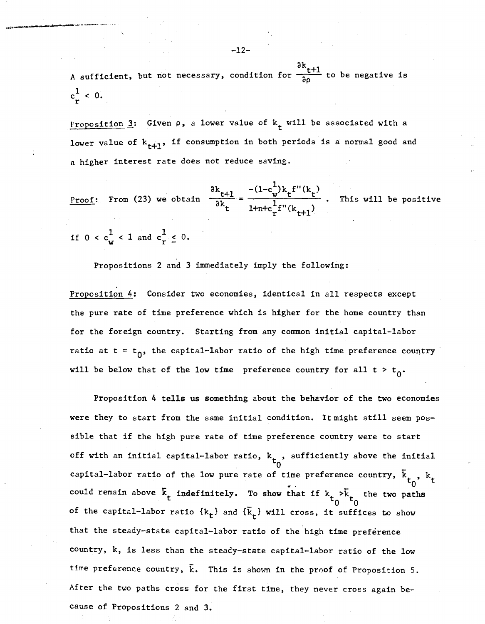A sufficient, but not necessary, condition for  $\frac{\partial k}{\partial \rho}$  to be negative is  $c_r^1$  < 0.

Proposition 3: Given  $\rho$ , a lower value of  $k_t$  will be associated with a lower value of  $k_{t+1}$ , if consumption in both periods is a normal good and a higher interest rate does not reduce saving.

Proof: From (23) we obtain  $\frac{\partial k_{t+1}}{\partial k} = \frac{-(1-c_w^1)k_t f''(k_t)}{1}$  $1 + n + c \frac{1}{r}f''(k+t+1)$ This will be positive

if  $0 < c_w^1 < 1$  and  $c_r^1 \leq 0$ .

Propositions 2 and 3 immediately imply the following:

Proposition 4: Consider two economies, identical in all respects except the pure rate of time preference which is higher for the home country than for the foreign country. Starting from any common initial capital-labor ratio at  $t = t_0$ , the capital-labor ratio of the high time preference country will be below that of the low time preference country for all  $t > t_0$ .

Proposition 4 tells us something about the behavior of the two economies were they to start from the same initial condition. It might still seem possible that if the high pure rate of time preference country were to start could remain above  $\bar{k}_t$  indefinitely. To show that if  $k_t > \bar{k}_t$  the two of the capital-labor ratio  $\{k_t\}$  and  $\{\bar{k}_t\}$  will cross, it suffices to show off with an initial capital-labor ratio,  $k_{+}$  , sufficiently above the initial  $\mathsf{t}_0$ capital-labor ratio of the low pure rate of time preference country,  $\bar{k}_{t_0}$ ,  $k_t$ ,. that the steady-state capital-labor ratio of the high time preference country, k, is less than the steady-state capital-labor ratio of the low time preference country,  $\bar{k}$ . This is shown in the proof of Proposition 5. After the two paths cross for the first time, they never cross again because of Propositions 2 and 3.

 $-12-$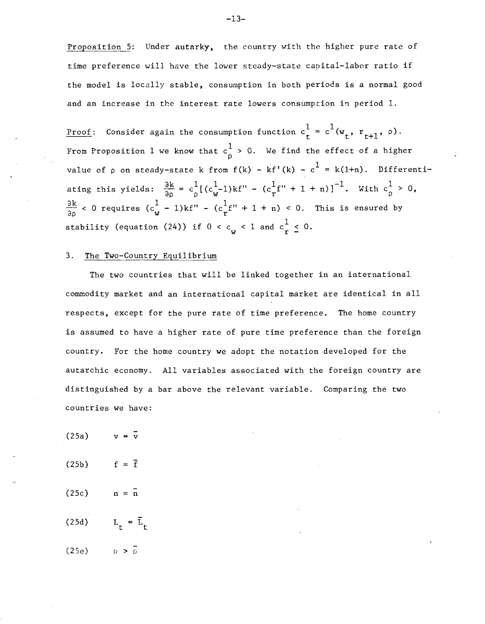Proposition 5: Under autarky, the country with the higher pure rate of time preference will have the lower steady-state capital-labor ratio if the model is locally stable, consumption in both periods is a normal good and an increase in the interest rate lowers consumption in period 1.

<u>Proof</u>: Consider again the consumption function  $\mathrm{c_{t}^{1}}$  $\frac{\partial k}{\partial \rho}$  < 0 requires  $(c_w^1 - 1) k f'' - (c_r^1 f'' + 1 + n)$  < 0. This is ensured by value of  $\rho$  on steady-state k from  $f(k)$  -  $kf'(k)$  -  $c^{\frac{1}{k}}$  = k(1+n). Differentiating this yields:  $\frac{\partial k}{\partial \rho} = c \frac{1}{\rho} [(c_w^1-1)k f'' - (c_r^1 f'' + 1 + n)]^{-1}$ . With  $c_\rho^1 > 0$ , stability (equation (24)) if  $0 < c_w < 1$  and  $c_r^1 \leq 0$ . From Proposition  $1$  we know that  $c\frac{1}{\rho}>0.$  We find the effect of a higher

# 3. The Two-Country Equilibrium

The two countries that will be linked together in an international commodity market and an international capital market are identical in all respects, except for the pure rate of time preference. The home country is assumed to have a higher rate of pure time preference than the foreign country. For the home country we adopt the notation developed for the autarchic economy. All variables associated with the foreign country are distinguished by a bar above the relevant variable. Comparing the two countries we have:

- $(25a)$
- $(25b)$   $f = \bar{f}$
- $(25c)$  n =  $\bar{n}$
- (25d)  $L_{+} = \bar{L}_{+}$

(25e)  $\rho > \frac{1}{\rho}$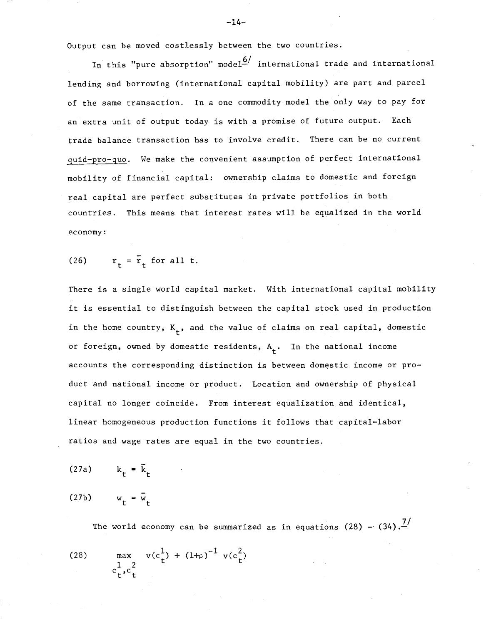Output can be moved c03tless1y between the two countries.

In this "pure absorption" model<sup>6</sup> international trade and international lending and borrowing (international capital mobility) are part and parcel of the same transaction. In a one commodity model the only way to pay for an extra unit of output today is with a promise of future output. Each trade balance transaction has to involve credit. There can be no current quid-pro-quo. We make the convenient assumption of perfect international mobility of financial capital: ownership claims to domestic and foreign real capital are perfect substitutes in private portfolios in both countries. This means that interest rates will be equalized in the world economy:

(26) 
$$
r_t = \overline{r}_t
$$
 for all t.

There is a single world capital market. With international capital mobility it is essential to distinguish between the capital stock used in production in the home country,  $K_{\mathbf{t}}^{\mathbf{t}}$ , and the value of claims on real capital, domestic or foreign, owned by domestic residents,  $A_{+}$ . In the national income accounts the corresponding distinction is between domestic income or product and national income or product. Location and ownership of physical capital no longer coincide. From interest equalization and identical, linear homogeneous production functions it follows that capital-labor ratios and wage rates are equal in the two countries.

(27a) 
$$
k_t = \overline{k}_t
$$
  
(27b)  $w_t = \overline{w}_t$ 

The world economy can be summarized as in equations  $(28)$  -  $(34)$ .<sup>7</sup>

(28) 
$$
\max_{\substack{c_1, c_2^2 \\ c_1, c_2^2}} v(c_1^1) + (1 + \rho)^{-1} v(c_1^2)
$$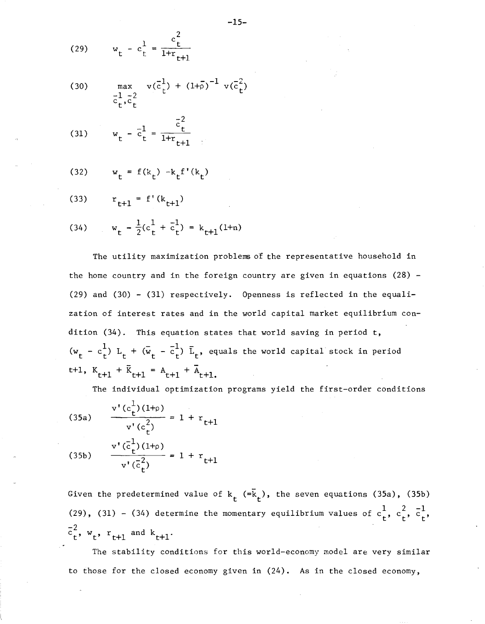(29) 
$$
w_t - c_t^1 = \frac{c_t^2}{1 + r_{t+1}}
$$

(30) 
$$
\max_{\substack{\bar{c}_t^1, \bar{c}_t^2}} v(\bar{c}_t^1) + (1+\bar{\rho})^{-1} v(\bar{c}_t^2)
$$

(31) 
$$
w_t - \bar{c}_t^1 = \frac{\bar{c}_t^2}{1 + r_{t+1}}
$$

(32) 
$$
w_t = f(k_t) - k_t f'(k_t)
$$

(33) 
$$
r_{t+1} = f'(k_{t+1})
$$

(34) 
$$
w_t - \frac{1}{2}(c_t^1 + \bar{c}_t^1) = k_{t+1}(1+n)
$$

The utility maximization problems of the representative household in the home country and in the foreign country are given in equations  $(28)$  -(29) and (30) - (31) respectively. Openness is reflected in the equalization of interest rates and in the world capital market equilibrium condition (34). This equation states that world saving in period t,  $(w_t - c_t^1)$   $L_t + (\bar{w}_t - \bar{c}_t^1)$   $\bar{L}_t$ , equals the world capital stock in period t+1,  $K_{t+1} + \bar{K}_{t+1} = A_{t+1} + \bar{A}_{t+1}$ .

The individual optimization programs yield the first-order conditions

(35a) 
$$
\frac{v'(c_t^1)(1+\rho)}{v'(c_t^2)} = 1 + r_{t+1}
$$
  
(35b) 
$$
\frac{v'(c_t^1)(1+\rho)}{v'(c_t^2)} = 1 + r_{t+1}
$$

Given the predetermined value of k<sub>t</sub> (=k̄<sub>t</sub>), the seven equations (35a), (35b) (29), (31) – (34) determine the momentary equilibrium values of  $c_{\mathbf{t}}^1$ ,  $c_{\mathbf{t}}^2$ ,  $\overline{c}_{\mathbf{t}}^1$  $\overline{z}^2$  $c_t^-, w_t, r_{t+1}$  and  $k_{t+1}$ .

The stability conditions for this world-economy model are very similar to those for the closed economy given in (24). As in the closed economy,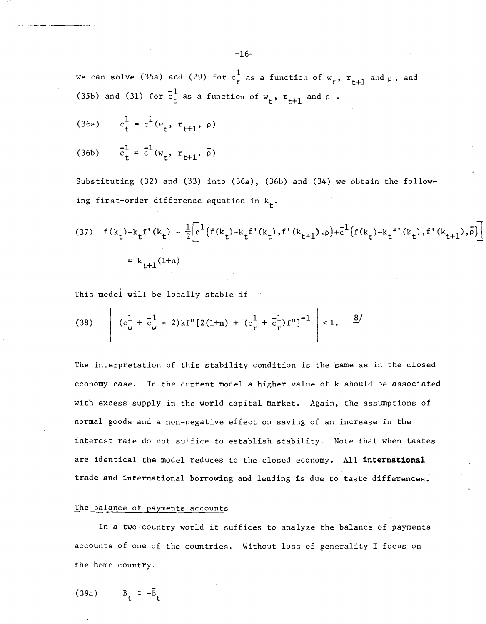we can solve (35a) and (29) for  $c^1_{\tt t}$  as a function of  ${\tt w}_{\tt t},$   ${\tt r}_{\tt t+1}$  and  ${\tt \rho}$  , and (35b) and (31) for  $\overline{c}_t^1$  as a function of  $w_t$ ,  $r_{t+1}$  and  $\overline{\rho}$  .

(36a)  $c_t^1 = c^1(w_t, r_{t+1}, \rho)$ 

.- \_\_---

(36b)  $c_t^1 = c^1(w_t, r_{t+1}, \bar{\rho})$ 

Substituting (32) and (33) into (36a), (36b) and (34) we obtain the following fi<mark>r</mark>st-order difference equation in k<sub>t</sub>.

(37) 
$$
f(k_t) - k_t f'(k_t) - \frac{1}{2} \left[ c^1 \left( f(k_t) - k_t f'(k_t) \right), f'(k_{t+1}), \rho \right] + c^1 \left( f(k_t) - k_t f'(k_t) \right), f'(k_{t+1}), \overline{\rho} \right]
$$
  
\n=  $k_{t+1}(1+n)$ 

This model will be locally stable if

(38) 
$$
\left| (c_w^1 + \bar{c}_w^1 - 2) k f''[2(1+n) + (c_r^1 + \bar{c}_r^1) f'' ]^{-1} \right| < 1. \quad \frac{8}{}
$$

The interpretation of this stability condition is the same as in the closed economy case. In the current model a higher value of k should be associated with excess supply in the world capital market. Again, the assumptions of normal goods and a non-negative effect on saving of an increase in the interest rate do not suffice to establish stability. Note that when tastes are identical the model reduces to the closed economy. All international trade and international borrowing and lending is due to taste differences.

#### The balance of payments accounts

In <sup>a</sup> two-country world it suffices to analyze the balance of payments accounts of one of the countries. Without loss of generality I focus on the home country.

(39a)  $B_{r} = -\bar{B}_{r}$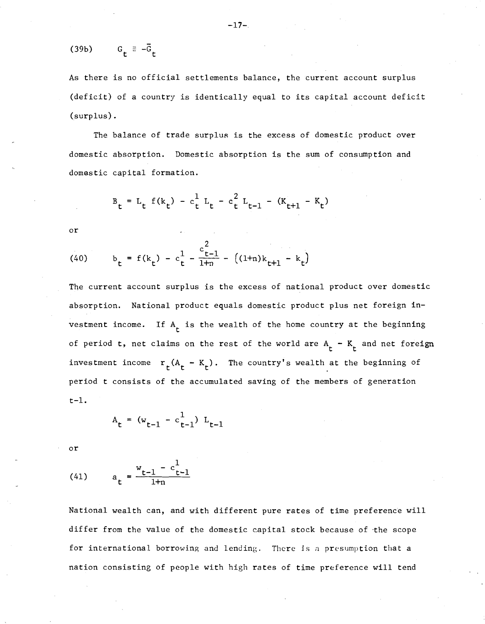$$
(39b) \t Gt \equiv -\bar{G}t
$$

As there is no official settlements balance, the current account surplus (deficit) of <sup>a</sup> country is identically equal to its capital account deficit (surplus) .

The balance of trade surplus is the excess of domestic product over domestic absorption. Domestic absorption is the sum of consumption and domestic capital formation.

$$
B_t = L_t f(k_t) - c_t^1 L_t - c_t^2 L_{t-1} - (K_{t+1} - K_t)
$$

or

(40) 
$$
b_t = f(k_t) - c_t^1 - \frac{c_{t-1}^2}{1+n} - ((1+n)k_{t+1} - k_t)
$$

The current account surplus is the excess of national product over domestic absorption. National product equals domestic product plus net foreign investment income. If  $A_t$  is the wealth of the home country at the beginning of period t, net claims on the rest of the world are  $A^t_t$  -  $K^t_t$  and net foreign investment income  $r_t(A_t - K_t)$ . The country's wealth at the beginning of period t consists of the accumulated saving of the members of generation t-l.

$$
A_t = (w_{t-1} - c_{t-1}^1) L_{t-1}
$$

or

(41) 
$$
a_t = \frac{w_{t-1} - c_{t-1}^1}{1+n}
$$

National wealth can, and with different pure rates of time preference will differ from the value of the domestic capital stock because of the scope for international borrowing and lending. There is n presumption that a nation consisting of people with high rates of time preference will tend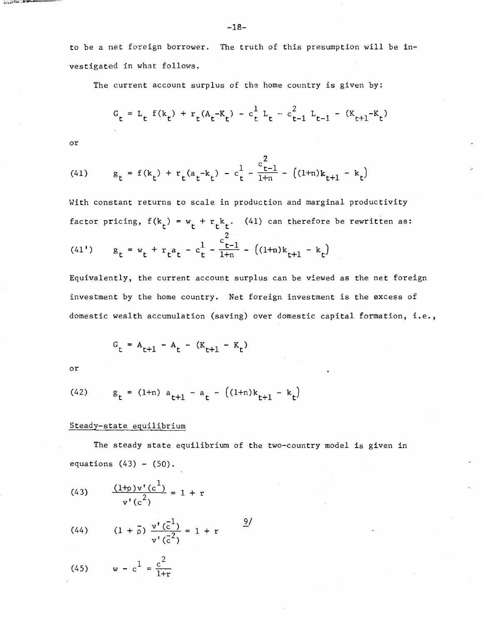to be a net foreign borrower. The truth of this presumption will be investigated in what follows.

The current account surplus of the home country is given by:

$$
G_t = L_t f(k_t) + r_t(A_t - K_t) - c_t^1 L_t - c_{t-1}^2 L_{t-1} - (K_{t+1} - K_t)
$$

or

المخالفة المساوية

(41) 
$$
g_t = f(k_t) + r_t(a_t - k_t) - c_t^1 - \frac{c_{t-1}^2}{1+n} - ((1+n)k_{t+1} - k_t)
$$

With constant returns to scale in production and marginal productivity factor pricing,  $f(k_t) = w_t + r_t k_t$ . (41) can therefore be rewritten as:

(41') 
$$
g_t = w_t + r_t a_t - c_t^1 - \frac{c_{t-1}^2}{1+n} - ((1+n)k_{t+1} - k_t)
$$

Equivalently, the current account surplus can be viewed as the net foreign investment by the home country. Net foreign investment is the excess of domestic wealth accumulation (saving) over domestic capital formation, i.e.,

$$
G_t = A_{t+1} - A_t - (K_{t+1} - K_t)
$$

or

(42) 
$$
g_t = (1+n) a_{t+1} - a_t - ((1+n)k_{t+1} - k_t)
$$

# Steady-state equilibrium

The steady state equilibrium of the two-country model is given in equations  $(43)$  -  $(50)$ .

(43) 
$$
\frac{(1+p)v'(c^1)}{v'(c^2)} = 1 + r
$$

(44) 
$$
(1 + \overline{\rho}) \frac{v'(\overline{c}^1)}{v'(\overline{c}^2)} = 1 + r
$$
  $\frac{9}{}$ 

(45) 
$$
w - c^1 = \frac{c^2}{1+r}
$$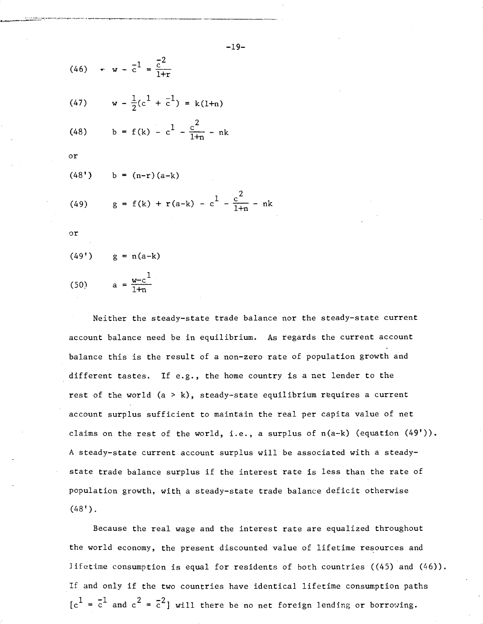(46) 
$$
\mathbf{w} - \mathbf{c}^1 = \frac{\mathbf{c}^2}{1+\mathbf{r}}
$$
  
\n(47)  $\mathbf{w} - \frac{1}{2}(\mathbf{c}^1 + \mathbf{c}^1) = \mathbf{k}(1+\mathbf{n})$   
\n(48)  $\mathbf{b} = \mathbf{f}(\mathbf{k}) - \mathbf{c}^1 - \frac{\mathbf{c}^2}{1+\mathbf{n}} - \mathbf{n}\mathbf{k}$   
\nor

$$
(40, 70) \quad 0 \quad (11-1)(a-k)
$$

 $1+n$ 

 $(1.9!)$  b =  $(n-1)(a-1)$ 

(49) 
$$
g = f(k) + r(a-k) - c^{\frac{1}{2}} - \frac{c^2}{1+n} - nk
$$

or

(49') 
$$
g = n(a-k)
$$
  
(50)  $a = \frac{w-c^1}{1+c}$ 

\_. '~"--'-""'-~-'-"''''''''--''-..,..... ..-..-.~.-.~ \_............-,.... \_.,..--~.\_----\_ ...~~-------\_ . ..........-----\_..

Neither the steady-state trade balance nor the steady-state current account balance need be in equilibrium. As regards the current account balance this is the result of a non-zero rate of population growth and different tastes. If e.g., the home country is a net lender to the rest of the world  $(a > k)$ , steady-state equilibrium requires a current account surplus sufficient to maintain the real per capita value of net claims on the rest of the world, i.e., a surplus of  $n(a-k)$  (equation  $(49'$ )). A steady-state current account surplus will be associated with a steadystate trade balance surplus if the interest rate is less than the rate of population growth, with a steady-state trade balance deficit otherwise  $(48")$ .

Because the real wage and the interest rate are equalized throughout the world economy, the present discounted value of lifetime resources and lifetime consumption is equal for residents of both countries  $((45)$  and  $(46)$ ). If and only if the two countries have identical lifetime consumption paths  $[c^1 = \overline{c}^1$  and  $c^2 = \overline{c}^2]$  will there be no net foreign lending or borrowing.

-19-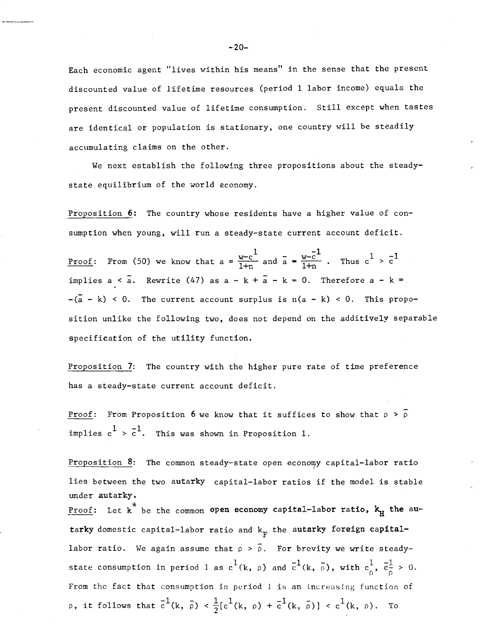Each economic agent "lives within his means" in the sense that the present discounted value of lifetime resources (period <sup>1</sup> labor income) equals the present discounted value of lifetime consumption. Still except when tastes are identical or population is stationary, one country will be steadily accumulating claims on the other.

We next establish the following three propositions about the steadystate equilibrium of the world economy.

Proposition 6: The country whose residents have a higher value of consumption when young, will run a steady-state current account deficit.

Proof: From (50) we know that  $a = \frac{w-c^1}{1+n}$  and  $\overline{a} = \frac{v-c^{-1}}{1+n}$  $\frac{w-\overline{c}^1}{1+n}$ . Thus  $c^1 > \overline{c}^1$ implies  $a < \overline{a}$ . Rewrite (47) as  $a - k + \overline{a} - k = 0$ . Therefore  $a - k =$  $-(a - k)$  < 0. The current account surplus is  $n(a - k)$  < 0. This proposition unlike the following two, does not depend on the additive1y separable specification of the utility function.

Proposition 7: The country with the higher pure rate of time preference has a steady-state current account deficit.

<u>Proof</u>: From Proposition 6 we know that it suffices to show that  $\rho > \overline{\rho}$ implies  $c^1 > \overline{c}^1$ . This was shown in Proposition 1.

Proposition  $8$ : The common steady-state open economy capital-labor ratio lies between the two autarky capital-labor ratios if the model is stable under autarky. Proof: Let  $x^*$  be the common open economy capital-labor ratio,  $k_H$  the autarky domestic capital-labor ratio and  $\textsf{k}_\text{F}$  the a<mark>utarky foreign capital-</mark> labor ratio. We again assume that  $\rho > \overline{\rho}$ . For brevity we write steadystate consumption in period  $1$  as  $c^1$ (k,  $\rho$ ) and  $\bar{c}^1$ (k,  $\bar{\rho}$ ), with  $c_{\rho}^1$ ,  $\bar{c}_{\bar{\rho}}^1$  > 0. From the fact that consumption in period <sup>1</sup> is an increasing function of p, it follows that  $\overline{c}^1(k, \overline{\rho}) < \frac{1}{2}[c^1(k, \rho) + \overline{c}^1(k, \overline{\rho})] < c^1(k, \rho)$ . To

 $-20-$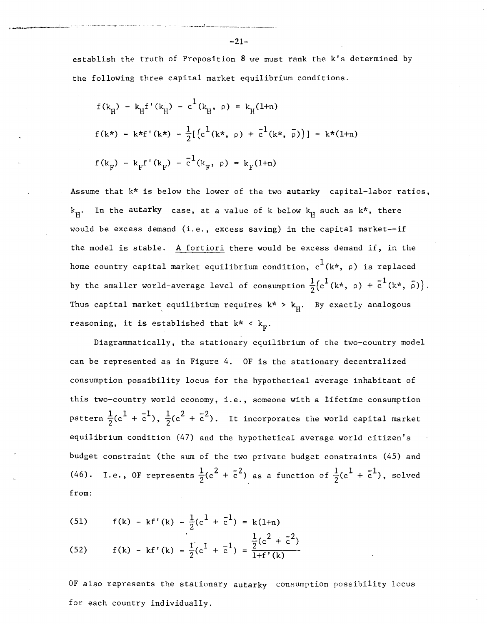establish the truth of Proposition  $8$  we must rank the k's determined by the following three capital market equilibrium conditions.

$$
f(k_{\rm H}) - k_{\rm H} f'(k_{\rm H}) - c^{\rm L}(k_{\rm H}, \rho) = k_{\rm H}(1+n)
$$
  

$$
f(k*) - k*f'(k*) - \frac{1}{2} [(c^{\rm L}(k*), \rho) + c^{\rm L}(k*, \bar{\rho})] = k*(1+n)
$$
  

$$
f(k_{\rm F}) - k_{\rm F} f'(k_{\rm F}) - c^{\rm L}(k_{\rm F}, \rho) = k_{\rm F}(1+n)
$$

Assume that k\* is below the lower of the two autarky capital-labor ratios,  $\textbf{k}_{\rm H}^{\phantom{\dag}}$ . In the a<mark>uta**r**ky</mark> case, at a value of k below  $\textbf{k}_{\rm H}^{\phantom{\dag}}$  such as k\*, there would be excess demand (i.e., excess saving) in the capital market--if the model is stable. A fortiori there would be excess demand if, in the home country capital market equilibrium condition,  $c^1(k^*, p)$  is replaced by the smaller world-average level of consumption  $\frac{1}{2}(c^1(k*, p) + \overline{c}^1(k*, \overline{p}))$ . Thus capital market equilibrium requires  $k^*$  >  $k_{\mu}$ . By exactly analogous reasoning, it is established that  $k^* < k_{\text{F}}^{\text{}}$ .

Diagrammatically, the stationary equilibrium of the two-country model can be represented as in Figure 4. OF is the stationary decentralized consumption possibility locus for the hypothetical average inhabitant of this two-country world economy, i.e., someone with <sup>a</sup> lifetime consumption pattern  $\frac{1}{2}$ (c $^1$  +  $\overline{c}^1$ ),  $\frac{1}{2}$ (c $^2$  +  $\overline{c}^2$ ). It incorporates the world capital market equilibrium condition (47) and the hypothetical average world citizen's budget constraint (the sum of the two private budget constraints (45) and (46). I.e., OF represents  $\frac{1}{2}$ ( $c^2 + \bar{c}^2$ ) as a function of  $\frac{1}{2}$ ( $c^1 + \bar{c}^1$ ), solved from:

(51) 
$$
f(k) - kf'(k) - \frac{1}{2}(c^1 + \bar{c}^1) = k(1+n)
$$

(52) 
$$
f(k) - kf'(k) - \frac{1}{2}(c^1 + \overline{c}^1) = \frac{\frac{1}{2}(c^2 + \overline{c}^2)}{1 + f'(k)}
$$

OF also represents the stationary autarky consumption possibility locus for each country individually.

, ....\_-.\_-\_. ---'---'--'-'-'--~-"------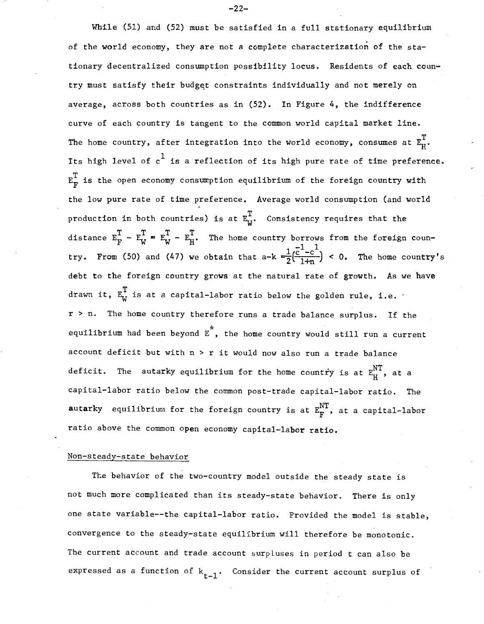$\tt{autarky}$  equilibrium for the foreign country is at  $\texttt{E}_\textbf{F}^\text{NT}$ , at a capital-labor While (51) and (52) must be satisfied in a full stationary equilibrium of the world economy, they are not a complete characterization of the stationary decentralized consumption possibility locus. Residents of each country must satisfy their budget constraints individually and not merely on average, across both countries as in (52). In Figure 4, the indifference curve of each country is tangent to the common world capital market line. The home country, after integration into the world economy, consumes at  $\mathtt{E}_{\mathrm{H}}^{\mathrm{T}}.$ Its high level of  $\text{c}^1$  is a reflection of its high pure rate of time preference.  $\texttt{E}_{\texttt{F}}^{\texttt{T}}$  is the open economy consumption equilibrium of the foreign country with the low pure rate of time preference. Average world consumption (and world production in both countries) is at  $E_W^T$ . Consistency requires that the distance  $E_F^T - E_W^T = E_W^T - E_H^T$ . The home country borrows from the foreign coun- $1e^{-1}$   $-c^{-1}$ try. From (50) and (47) we obtain that a-k  $=\frac{1}{2}(\frac{c-c}{1+n})$  < 0. The home country's debt to the foreign country grows at the natural rate of growth. As we have drawn it,  $E_{\text{W}}^{\text{T}}$  is at a capital-labor ratio below the golden rule, i.e.  $'$ r <sup>&</sup>gt; n. The home country therefore runs a trade balance surplus. If the equilibrium had been beyond  $\vec{E}^*$ , the home country would still run a current account deficit but with  $n > r$  it would now also run a trade balance deficit. The autarky equilibrium for the home country is at  $E_{tr}^{NT}$ , at a capital-labor ratio below the common post-trade capital-labor ratio. The ratio above the common open economy capital-labor ratio.

#### Non-steady-state behavior

The behavior of the two-country model outside the steady state is not much more complicated than its steady-state behavior. There is only one state variable--the capital-labor ratio. Provided the model is stable, convergence to the steady-state equilibrium will therefore be monotonic. The current account and trade account surpluses in period t can also be expressed as a function of  $k_{t-1}$ . Consider the current account surplus of

-22-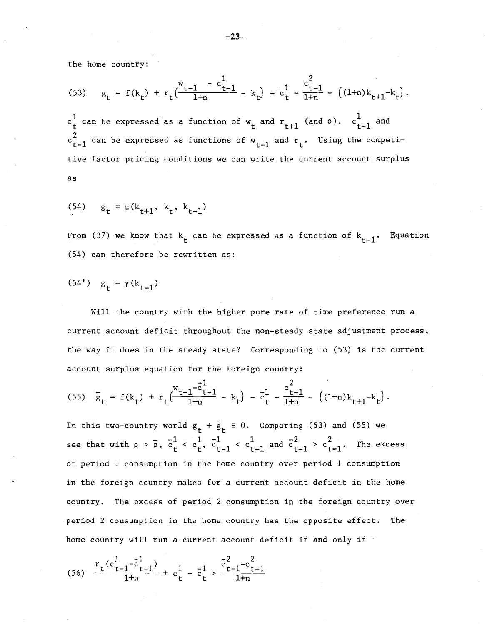the home country:

(53) 
$$
g_t = f(k_t) + r_t \left( \frac{v_{t-1} - c_{t-1}^1}{1 + n} - k_t \right) - c_t^1 - \frac{c_{t-1}^2}{1 + n} - \left( (1 + n) k_{t+1} - k_t \right).
$$

 $c_{\bf t}^{\bf 1}$  can be expressed as a function of  ${\tt w}_{\bf t}$  and  ${\tt r}_{\bf t+1}$  (and  $\rho$ ).  $c_{{\bf t}-1}^{\bf 1}$  and  $\mathrm{c_{t-1}^2}$  can be expressed as functions of  $\mathrm{w_{t-1}}$  and  $\mathrm{r_{t}}.$  Using the competitive factor pricing conditions we can write the current account surplus as

(54) 
$$
g_t = \mu(k_{t+1}, k_t, k_{t-1})
$$

From (37) we know that  $k^{\phantom{\dagger}}_{\mathsf{t}}$  can be expressed as a function of  $k^{\phantom{\dagger}}_{\mathsf{t}}$ Equation (54) can therefore be rewritten as:

(54') 
$$
g_t = \gamma(k_{t-1})
$$

Will the country with the higher pure rate of time preference run a current account deficit throughout the non-steady state adjustment process, the way it does in the steady state? Corresponding to (53) is the current account surplus equation for the foreign country:

$$
(55) \quad \overline{g}_t = f(k_t) + r_t \Big( \frac{w_{t-1} - \overline{c}_{t-1}^1}{1 + n} - k_t \Big) - \overline{c}_t^1 - \frac{c_{t-1}^2}{1 + n} - \left( (1 + n) k_{t+1} - k_t \right).
$$

In this two-country world  $g_t + \bar{g}_t \equiv 0$ . Comparing (53) and (55) we see that with  $\rho > \bar{\rho}$ ,  $\bar{c}^1_t < c^1_t$ ,  $\bar{c}^1_{t-1} < c^1_{t-1}$  and  $\bar{c}^2_{t-1} > c^2_{t-1}$ .  $c_{t}^1$ ,  $\overline{c}_{t-1}^1$  <  $c_{t-1}^1$  and  $\overline{c}_{t-1}^2$  >  $c_{t-1}^2$ . The excess of period 1 consumption in the home country over period 1 consumption in the foreign country makes for a current account deficit in the home country, The excess of period 2 consumption in the foreign country over period 2 consumption in the home country has the opposite effect, The home country will run a current account deficit if and only if  $\cdot$ 

$$
(56) \quad \frac{r_t(c_{t-1}^1 - \bar{c}_{t-1}^1)}{1 + n} + c_t^1 - \bar{c}_t^1 > \frac{\bar{c}_{t-1}^2 - c_{t-1}^2}{1 + n}
$$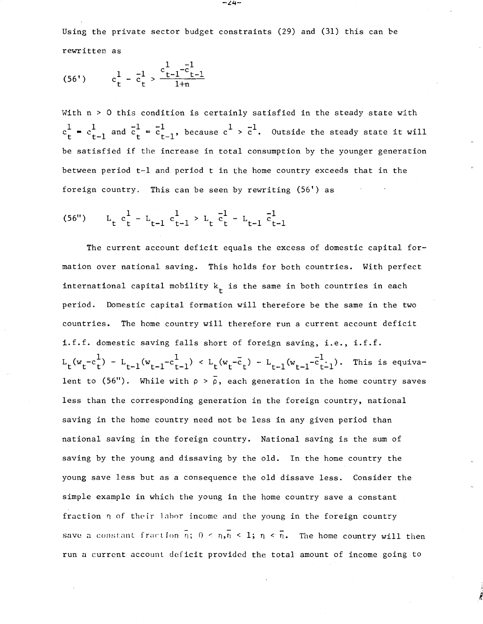Using the private sector budget constraints (29) and (31) this can be rewritten as

$$
(56') \qquad c_t^1 - \bar{c}_t^1 > \frac{c_{t-1}^1 - \bar{c}_{t-1}^1}{1+n}
$$

With n <sup>&</sup>gt; 0 this condition is certainly satisfied in the steady state with  $c_t^1$  =  $c_{t-1}^1$  and  $\overline{c}_t^1$  =  $\overline{c}_{t-1}^1$ , because  $c^1 > \overline{c}^1$ . Outside the steady state it will be satisfied if the increase in total consumption by the younger generation between period t-l and period <sup>t</sup> in the home country exceeds that in the foreign country. This can be seen by rewriting (56') as

(56") 
$$
L_t c_t^1 - L_{t-1} c_{t-1}^1 > L_t \bar{c}_t^1 - L_{t-1} \bar{c}_{t-1}^1
$$

The current account deficit equals the excess of domestic capital formation over national saving. This holds for both countries. With perfect international capital mobility  $k^{\phantom{\dagger}}_t$  is the same in both countries in each period. Domestic capital formation will therefore be the same in the two countries. The home country will therefore run a current account deficit i.f.f. domestic saving falls short of foreign saving, i.e., i.f.f.  $L_t(w_t - c_t^1) - L_{t-1}(w_{t-1} - c_{t-1}^1) < L_t(w_t - c_t) - L_{t-1}(w_{t-1} - c_{t-1}^1)$ . This is equivalent to (56"). While with  $\rho > \overline{\rho}$ , each generation in the home country saves less than the corresponding generation in the foreign country, national saving in the home country need not be less in any given period than national saving in the foreign country. National saving is the sum of saving by the young and dissaving by the old. In the home country the young save less hut as a consequence the old dissave less. Consider the simple example in which the young in the home country save a constant fraction n of their labor income and the young in the foreign country save a constant fraction  $\overline{n}$ ;  $0 \le \overline{n}$ ,  $\overline{n} \le 1$ ;  $\overline{n} \le \overline{n}$ . The home country will then run a current account deficit provided the total amount of income going to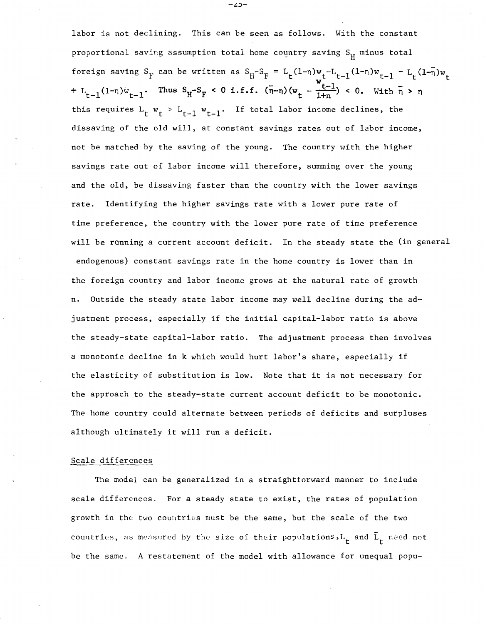labor is not declining. This can be seen as follows. With the constant proportional saving assumption total home country saving  $S_H$  minus total foreign saving S<sub>F</sub> can be written as S<sub>H</sub>-S<sub>F</sub> = L<sub>t</sub>(1-n)w<sub>t</sub>-L<sub>t-1</sub>(1-n)w<sub>t-1</sub> - L<sub>t</sub>(1-n)w<sub>t</sub> + L<sub>t-1</sub>(1-n) $w_{t-1}$ . Thus  $S_H - S_F < 0$  i.f.f.  $(\bar{n}-n)(w_t - \frac{w_{t-1}}{1+n}) < 0$ . With  $\bar{n} > n$ this requires  $L_t w_t > L_{t-1} w_{t-1}$ . If total labor income declines, the dissaving of the old will, at constant savings rates out of labor income, not be matched by the saving of the young. The country with the higher savings rate out of labor income will therefore, summing over the young and the old, be dissaving faster than the country with the lower savings rate. Identifying the higher savings rate with a lower pure rate of time preference, the country with the lower pure rate of time preference will be running a current account deficit. In the steady state the (in general endogenous) constant savings rate in the home country is lower than in the foreign country and labor income grows at the natural rate of growth n. Outside the steady state labor income may well decline during the adjustment process, especially if the initial capital-labor ratio is above the steady-state capital-labor ratio. The adjustment process then involves <sup>a</sup> monotonic decline in <sup>k</sup> which would hurt labor's share, especially if the elasticity of substitution is low. Note that it is not necessary for the approach to the steady-state current account deficit to be monotonic. The home country could alternate between periods of deficits and surpluses although ultimately it will run <sup>a</sup> deficit.

#### Scale differences

The model can be generalized in a straightforward manner to include scale differences. For a steady state to exist, the rates of population growth in the two countries must be the same, but the scale of the two countries, as measured by the size of their populations, $L^{\pm}$  and  $\bar{L}^{\pm}$  need not be the same. A restatement of the model with allowance for unequal popu-

-८コ-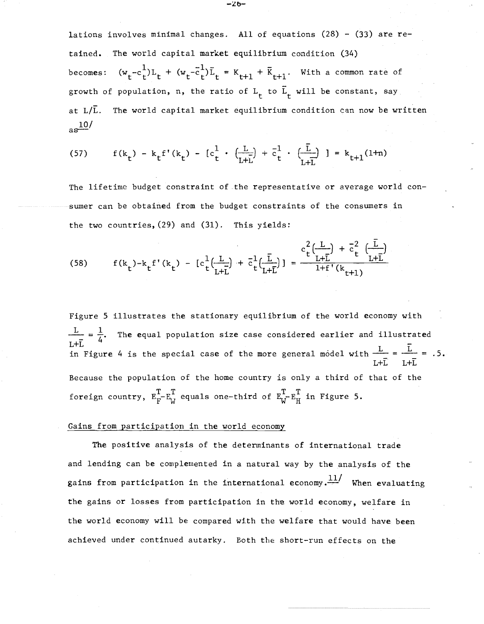becomes: lations involves minimal changes. All of equations  $(28) - (33)$  are retained. The world capital market equilibrium condition (34)  $(w_t - c_t^1)L_t + (w_t - \overline{c}_t^1)\overline{L}_t = K_{t+1} + \overline{K}_{t+1}$ . With a common rate of growth of population, n, the ratio of  $L^t_t$  to  $\bar{L}_t$  will be constant, say at  $L/\overline{L}$ . The world capital market equilibrium condition can now be written  $a s \frac{10}{ }$ 

(57) 
$$
f(k_t) - k_t f'(k_t) - [c_t^1 \cdot (\frac{L}{L+L}) + \bar{c}_t^1 \cdot (\frac{L}{L+L})] = k_{t+1}(1+n)
$$

The lifetime budget constraint of the representative or average world consumer can be obtained from the budget constraints of the consumers in the two countries, (29) and (31). This yields:

(58) 
$$
f(k_t) - k_t f'(k_t) - [c_t^1(\frac{L}{L+L}) + \bar{c}_t^1(\frac{L}{L+L})] = \frac{c_t^2(\frac{L}{L+L}) + \bar{c}_t^2(\frac{L}{L+L})}{1 + f'(k_{t+1})}
$$

Figure 5 illustrates the stationary equilibrium of the world economy with  $\frac{\mathcal{L}}{\mathcal{L}+\bar{\mathcal{L}}}=\frac{1}{4}.$ L+L<br>in Figure 4 is the special case of the more general model with  $\frac{L}{L+L} = \frac{\overline{L}}{L+L} = .5$ . The equal population size case considered earlier and illustrated Because the population of the home country is only a third of that of the foreign country,  $E_F^T - E_W^T$  equals one-third of  $E_W^T - E_W^T$  in Figure 5.

### Gains from participation in the world economy

The positive analysis of the determinants of international trade and lending can be complemented in a natural way by the analysis of the gains from participation in the international economy. $\frac{11}{4}$  When evaluating the gains or losses from participation in the world economy, welfare in the world economy will be compared with the welfare that would have been achieved under continued autarky. Both the short-run effects on the

 $-26-$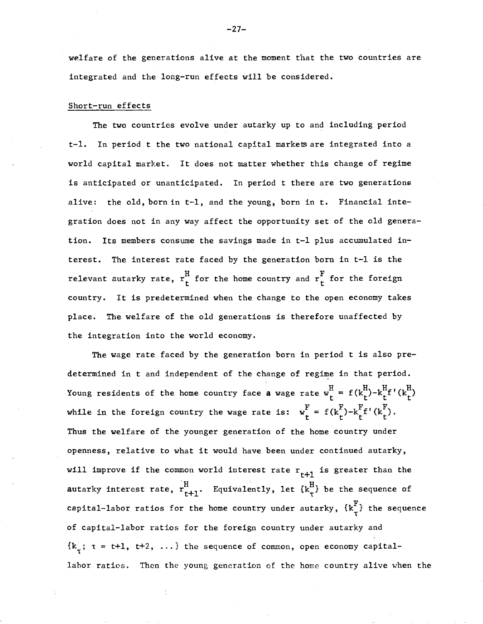welfare of the generations alive at the moment that the two countries are integrated and the long-run effects will be considered.

#### Short-run effects

The two countries evolve under autarky up to and including period t-1. In period t the two national capital markets are integrated into a world capital market. It does not matter whether this change of regime is anticipated or unanticipated. In period t there are two generations alive: the old, born in t-1, and the young, born in t. Financial integration does not in any way affect the opportunity set of the old generation. Its members consume the savings made in t-1 plus accumulated interest. The interest rate faced by the generation born in t-l is the relevant autarky rate,  $r_t^H$  for the home country and  $r_t^F$  for the foreign country. It is predetermined when the change to the open economy takes place. The welfare of the old generations is therefore unaffected by the integration into the world economy.

The wage rate faced by the generation born in period t is also predetermined in t and independent of the change of regime in that period. Young residents of the home country face a wage rate  $w_t^H = f(k_t^H) - k_t^H f'(k_t^H)$ while in the foreign country the wage rate is:  $w_{r}^{F} = f(k_{r}^{F}) - k_{r}^{F}f'(k_{r}^{F})$ . Thus the welfare of the younger generation of the home country under openness, relative to what it would have been under continued autarky, will improve if the common world interest rate  $r_{t+1}$  is greater than the autarky interest rate,  $r_{t+1}^H$ . Equivalently, let  $\{k_{\tau}^H\}$  be the sequence of capital-labor ratios for the home country under autarky,  $\{k_{\tau}^{\text{F}}\}$  the sequence of capital-labor ratios for the foreign country under autarky and  ${k<sub>7</sub>;  $\tau = t+1, t+2, ...}$  the sequence of common, open economy capital$ lahor ratios. Then the young generation of the home country alive when the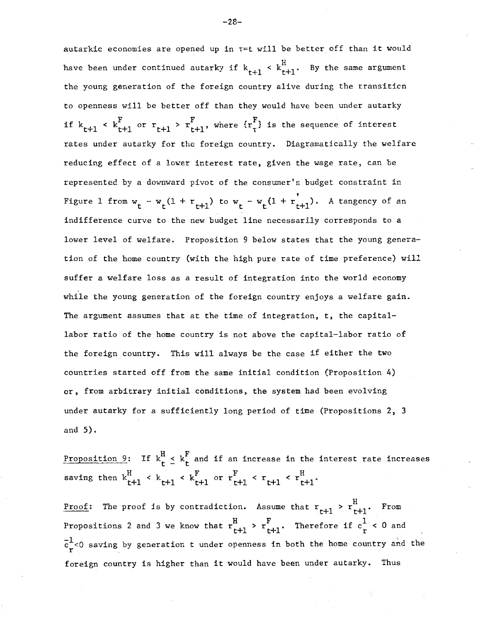autarkic economies are opened up in  $\tau$ =t will be better off than it would have been under continued autarky if  $k_{t+1} < k_{t+1}^H$ . By the same argument the young generation of the foreign country alive during the transiticn to openness will be better off than they would have been under autarky if  $k_{t+1}$  <  $k_{t+1}^F$  or  $r_{t+1} > r_{t+1}^F$ , where  $\{r_t^F\}$  is the sequence of interest rates under autarky for the foreign country. Diagramatically the welfare reducing effect of a lower interest rate, given the wage rate, can be represented by a downward pivot of the consumer's budget constraint in Figure 1 from  $w_t - w_t(1 + r_{t+1})$  to  $w_t - w_t(1 + r_{t+1})$ . A tangency of an indifference curve to the new budget line necessarily corresponds to a lower level of welfare. Proposition 9 below states that the young generation of the home country (with the high pure rate of time preference) will suffer a welfare loss as a result of integration into the world economy while the young generation of the foreign country enjoys a welfare gain. The argument assumes that at the time of integration, t, the capitallabor ratio of the home country is not above the capital-labor ratio of the foreign country. This will always be the case if either the two countries started off from the same initial condition (Proposition 4) or, from arbitrary initial conditions, the system had been evolving under autarky for a sufficiently long period of time (Propositions 2, 3 and 5).

Proposition 9: If  $k^{H}_{t} \leq k^{F}_{t}$  and if an increase in the interest rate increases saving then  $k_{t+1}^H < k_{t+1} < k_{t+1}^F$ 

<u>Proof</u>: The proof is by contradiction. Assume that  $r_{t+1} > r_{t+1}^H$ . From Propositions 2 and 3 we know that  $r_{t+1}^H$  >  $r_{t+1}^F$ . Therefore if  $c_r^1$  < 0 and  $\frac{1}{r}$ <0 saving by generation t under openness in both the home country and the foreign country is higher than it would have been under autarky. Thus

-28-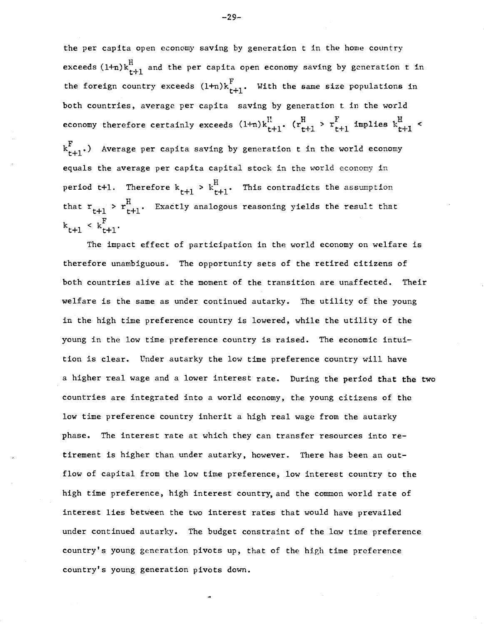period t+1. Therefore  $k_{t+1} > k_{t+1}^H$ . This contradicts the assumption the per capita open economy saving by generation t in the home country exceeds (1+n) $\text{k}^\text{H}_{\texttt{t+1}}$  and the per capita open economy saving by generation  $\texttt{t}$  in the foreign country exceeds  $(1+n)k_{t+1}^F$ . With the same size populations in both countries, average per capita saving by generation t in the world economy therefore certainly exceeds  $(1+n)k_{t+1}^H$ .  $(r_{t+1}^H > r_{t+1}^F$  implies  $k_{t+1}^H <$  $\textstyle \kappa_{\texttt{t+1}}^{\texttt{F}}$ .) Average per capita saving by generation t in the world economy equals the average per capita capital stock in the world economy in that  $r_{t+1}$  >  $r_{t+1}^H$ . Exactly analogous reasoning yields the result that  $\langle k_{t+1}^{\text{F}} \rangle$ 

The impact effect of participation in the world economy on welfare is therefore unambiguous. The opportunity sets of the retired citizens of both countries alive at the moment of the transition are unaffected. Their welfare is the same as under continued autarky, The utility of the young in the high time preference country is lowered, while the utility of the young in the low time preference country is raised. The economic intuition is clear, Under autarky the low time preference country will have a higher real wage and a lower interest rate. During the period that the two countries are integrated into a world economy, the young citizens of the low time preference country inherit a high real wage from the autarky phase, The interest rate at which they can transfer resources into retirement is higher than under autarky, however, There has been an outflow of capital from the low time preference, low interest country to the high time preference, high interest country, and the common world rate of interest lies between the two interest rates that would have prevailed under continued autarky, The budget constraint of the IQW time preference country's young generation pivots up, that of the high time preference country's young generation pivots down.

 $-29-$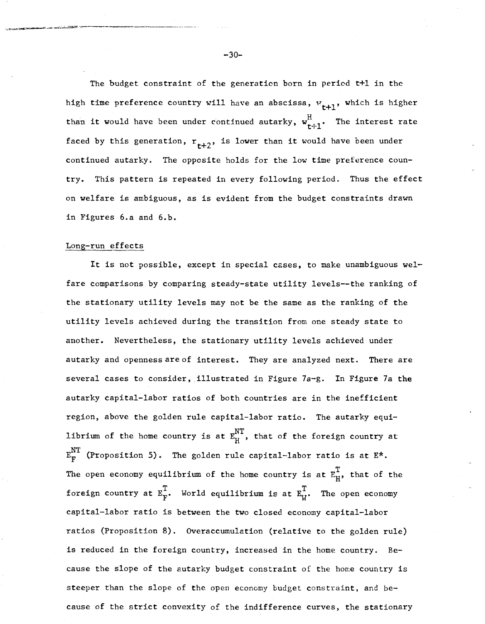The budget constraint of the generation born in period t+l in the high time preference country will have an abscissa,  $w_{t+1}$ , which is higher than it would have been under continued autarky,  $\textbf{w}^\text{H}_{\textbf{t}\dot{\gamma}\textbf{1}}$ . The interest rate faced by this generation,  $r_{t+2}$ , is lower than it would have been under continued autarky. The opposite holds for the low time preference country. This pattern is repeated in every following period. Thus the effect on welfare is ambiguous, as is evident from the budget constraints drawn in Figures 6.a and 6.b.

#### Long-run effects

 $1.1\,$ ,  $1.4\,$  ) and  $1.4\,$  and  $1.4\,$  and  $1.4\,$  and  $1.4\,$   $1.4\,$   $1.4\,$   $1.4\,$   $1.4\,$   $1.4\,$   $1.4\,$   $1.4\,$   $1.4\,$   $1.4\,$   $1.4\,$   $1.4\,$   $1.4\,$   $1.4\,$   $1.4\,$   $1.4\,$   $1.4\,$   $1.4\,$   $1.4\,$   $1.4\,$   $1$ 

It is not possible, except in special cases, to make unambiguous welfare comparisons by comparing steady-state utility levels--the ranking of the stationary utility levels may not be the same as the ranking of the utility levels achieved during the transition from one steady state to another. Nevertheless, the stationary utility levels achieved under autarky and openness are of interest. They are analyzed next. There are several cases to consider, illustrated in Figure 7a-g. In Figure 7a the autarky capital-labor ratios of both countries are in the inefficient region, above the golden rule capital-labor ratio. The autarky equilibrium of the home country is at  $E_{H}^{NT}$ , that of the foreign country at  $E_{F}^{NT}$  (Proposition 5). The golden rule capital-labor ratio is at  $E^*$ . The open economy equilibrium of the home country is at  $E_{H}^{T}$ , that of the foreign country at  $E_{\text{F}}^{\text{T}}$ . World equilibrium is at  $E_{\text{W}}^{\text{T}}$ . The open economy capital-labor ratio is between the two closed economy capital-labor ratios (Proposition 8). Overaccumulation (relative to the golden rule) is reduced in the foreign country, increased in the home country. Because the slope of the autarky budget constraint of the home country is steeper than the slope of the open economy budget constraint, and because of the strict convexity of the indifference curves, the stationary

 $-30-$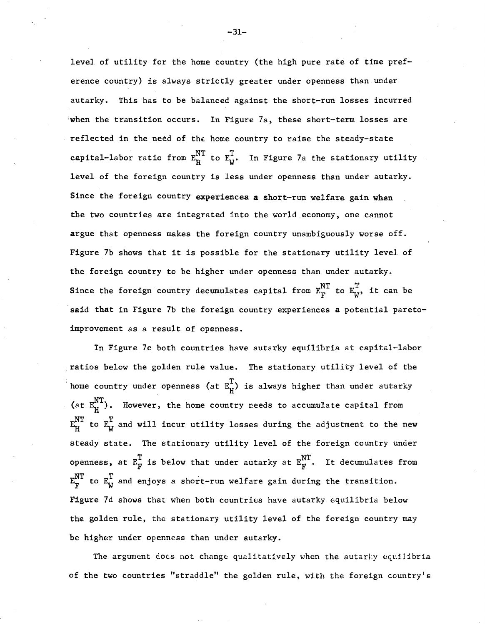level of utility for the home country (the high pure rate of time preference country) is always strictly greater under openness than under autarky. This has to be balanced against the short-run losses incurred when the transition occurs. In Figure 7a, these short-term losses are reflected in the need of the home country to raise the steady-state capital-labor ratio from  $E_{H}^{NT}$  to  $E_{W}^{T}$ . In Figure 7a the stationary utility level of the foreign country is less under openness than under autarky. Since the foreign country experiences a short-run welfare gain when the two countries are integrated into the world economy, one cannot argue that openness makes the foreign country unambiguously worse off. Figure 7b shows that it is possible for the stationary utility level of the foreign country to be higher under openness than under autarky. Since the foreign country decumulates capital from  $E_{\rm F}^{\rm NT}$  to  $E_{\rm w}^{\rm T}$ , it can be said that in Figure 7b the foreign country experiences a potential paretoimprovement as a result of openness.

In Figure 7c both countries have autarky equilibria at capital-labor . ratios below the golden rule value. The stationary utility level of the <sup>i</sup> home country under openness (at  $E_{H}^{T}$ ) is always higher than under autarky (at  $\texttt{E}^\text{NT}_\text{H}$ ). However, the home country reeds to accumulate capital from  $\mathbb{E}_{H}^{NT}$  to  $\mathbb{E}_{u}^{T}$  and will incur utility losses during the adjustment to the new steady state. The stationary utility level of the foreign country under openness, at  $E_{\vec{F}}^T$  is below that under autarky at  $E_{\vec{F}}^{NT}$ . It decumulates from  $E_{F}^{NT}$  to  $E_{W}^{T}$  and enjoys a short-run welfare gain during the transition. Figure 7d shows that when both countries have autarky equilibria below the golden rule, the stationary utility level of the foreign country may be higher under openness than under autarky.

The argument does not change qualitatively when the autarly equilibria of the two countries "straddle" the golden rule, with the foreign country's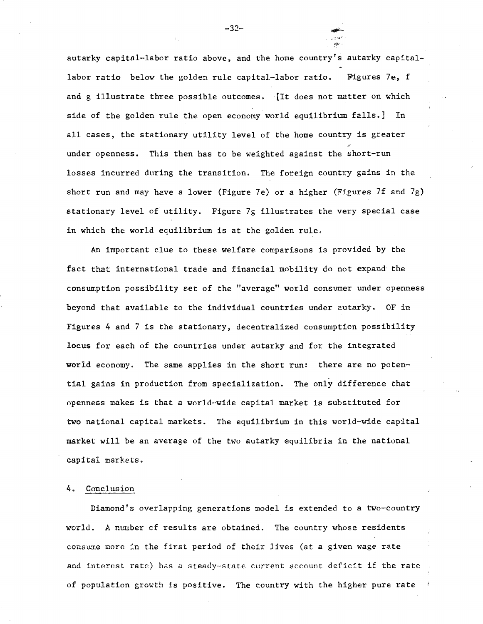autarky capital-labor ratio above, and the home country's autarky capitallabor ratio below the golden rule capital-labor ratio. Figures 7e, f and g illustrate three possible outcomes. [It does not matter on which side of the golden rule the open economy world equilibrium falls.] In all cases, the stationary utility level of the home country is greater under openness. This then has to be weighted against the short-run losses incurred during the transition. The foreign country gains in the short run and may have a lower (Figure 7e) or a higher (Figures 7f and 7g) stationary level of utility. Figure 7g illustrates the very special case in which the world equilibrium is at the golden rule.

An important clue to these welfare comparisons is provided by the fact that international trade and financial mobility do not expand the consumption possibility set of the "average" world consumer under openness beyond that available to the individual countries under autarky. OF in Figures 4 and 7 is the stationary, decentralized consumption possibility locus for each of the countries under autarky and for the integrated world economy. The same applies in the short run: there are no potential gains in production from specialization. The only difference that openness makes is that a world-wide capital market is substituted for two national capital markets. The equilibrium in this world-wide capital market will be an average of the two autarky equilibria in the national capital markets.

#### 4.. Conclusion

Diamond's overlapping generations model is extended to a two-country world. A number of results are obtained. The country whose residents consume more in the first period of their lives (at a given wage rate and interest rate) has <sup>a</sup> steady-state current account deficit if the rate of population growth is positive. The country with the higher pure rate

-32-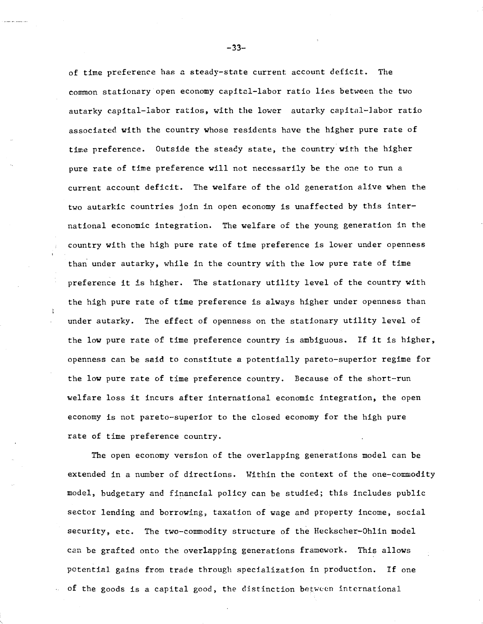of time preference has a steady-state current account deficit. The common stationary open economy capitcl-Iabor ratio lies between the two autarky capital-labor ratios, with the lower autarky capital-labor ratio associated with the country whose residents have the higher pure rate of time preference. Outside the steady state, the country with the higher pure rate of time preference will not necessarily be the one to run a current account deficit. The welfare of the old generation alive when the two autarkic countries join in open economy is unaffected by this international economic integration. The welfare of the young generation in the country with the high pure rate of time preference is lower under openness than under autarky, while in the country with the low pure rate of time preference it is higher. The stationary utility level of the country with the high pure rate of time preference is always higher under openness than under autarky. The effect of openness on the stationary utility level of the low pure rate of time preference country is ambiguous. If it is higher, openness can be said to constitute a potentially pareto-superior regime for the low pure rate of time preference country. Because of the short-run welfare loss it incurs after international economic integration, the open economy is not pareto-superior to the closed economy for the high pure rate of time preference country.

The open economy version of the overlapping generations model can be extended in a number of directions. Within the context of the one-commodity model, budgetary and financial policy can be studied; this includes public sector lending and borrowing, taxation of wage and property income, social security, etc. The two-commodity structure of the Heckscher-Ohlin model can be grafted onto the overlapping generations framework. This allows potential gains from trade through specialization in production. If one of the goods is a capital good, the distinction between international

-33-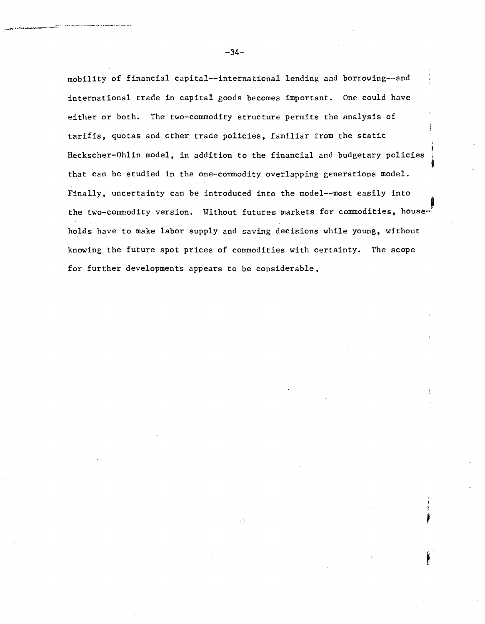mobility of financial capital--international lending and borrowing--and international trade in capital goods becomes important. One could have either or both. The two-commodity structure permits the analysis of tariffs, quotas and other trade policies, familiar from the static Heckscher-Ohlin model, in addition to the financial and budgetary policies that can be studied in the one-commodity overlapping generations model. Finally, uncertainty can be introduced into the model--most easily into the two-commodity version. Without futures markets for commodities, house-' holds have to make labor supply and saving decisions while young, without knowing the future spot prices of commodities with certainty. The scope for further developments appears to be considerable.

-34-

~A" -- -: - .,.- •••\_. .\_ •.. \_\_

.<br>.<br>.<br>" The Constant Advance and Advance and Advance and Advance and Advance and Advance and Advance and Advance an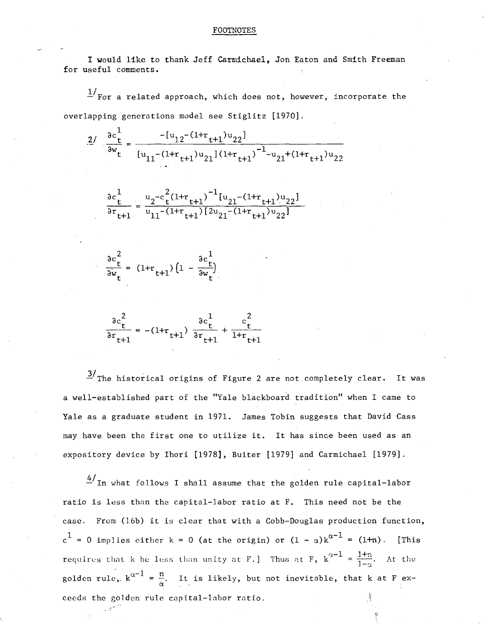#### FOOTNOTES

I would like to thank Jeff Carmichael, Jon Eaton and Smith Freeman for useful comments.

*II* - For a related approach, which does not, however, incorporate the overlapping generations model see Stiglitz [1970].

$$
\frac{2}{2\omega t} = \frac{-[u_{12} - (1 + r_{t+1})u_{22}]}{[u_{11} - (1 + r_{t+1})u_{21}](1 + r_{t+1})} - \frac{1}{2}u_{21} + (1 + r_{t+1})u_{22}}
$$

$$
\frac{\partial c_t^1}{\partial r_{t+1}} = \frac{u_2 - c_t^2 (1 + r_{t+1})^{-1} [u_{21} - (1 + r_{t+1}) u_{22}]}{u_{11} - (1 + r_{t+1}) [2u_{21} - (1 + r_{t+1}) u_{22}]}
$$

$$
\frac{\partial c_t^2}{\partial w_t} = (1 + r_{t+1}) \left( 1 - \frac{\partial c_t^1}{\partial w_t} \right)
$$

$$
\frac{\partial c_t^2}{\partial r_{t+1}} = -(1+r_{t+1}) \frac{\partial c_t^1}{\partial r_{t+1}} + \frac{c_t^2}{1+r_{t+1}}
$$

 $\frac{3}{\sqrt{2}}$ The historical origins of Figure 2 are not completely clear. It was a well-established part of the "Yale blackboard tradition" when I came to Yale as a graduate student in 1971. James Tobin suggests that David Cass may have been the first one to utilize it. It has since been used as an expository device by Ihori [1978], Buiter [1979] and Carmichael [1979].

 $^{4/}$ In what follows I shall assume that the golden rule capital-labor ratio is less than the capital-labor ratio at F. This need not be the case. From (16b) it is clear that with <sup>a</sup> Cobb-Douglas production function,  $\rm c^{\hskip 1pt \rm l}\,$  = 0 implies either k = 0 (at the origin) or (1 -  $\rm \alpha)\rm\,k^{\alpha-1}$  = (1+n). [This requires that k be less than unity at F.] Thus at F,  $k^{\alpha-1} = \frac{1+n}{1-\alpha}$ . At the golden rule,  $k^{\alpha-1} = \frac{n}{\alpha}$ . It is likely, but not inevitable, that k at F exceeds the golden rule capital-labor ratio.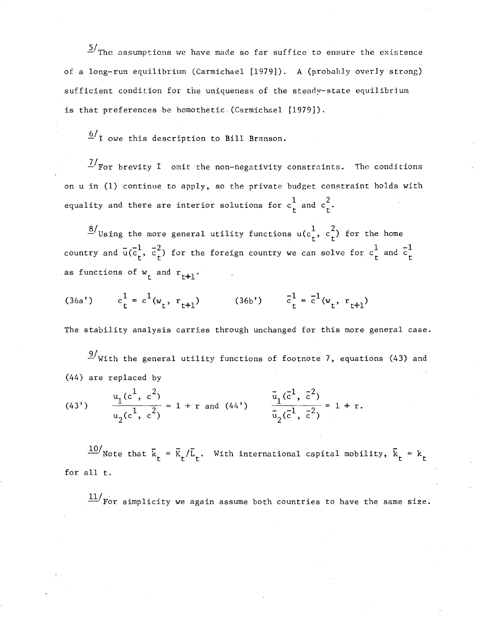$\frac{5}{1}$ The assumptions we have made so far suffice to ensure the existence of a long-run equilibrium (Carmichael [1979]). A (probably overly strong) sufficient condition for the uniqueness of the steady-state equilibrium is that preferences be homothetic. (Carmichael [1979]).

 $\frac{6}{1}$  owe this description to Bill Branson.

*llFor* brevity <sup>I</sup> omit the non-negativity constraints. The conditions on u in (1) continue to apply, so the private budget constraint holds with equality and there are interior solutions for  $\mathrm{c_{t}^{1}}$  and  $\mathrm{c_{t}^{2}}$ .

 $\frac{8}{\text{Using the more general utility functions } u(c_{t}^{1}, c_{t}^{2})$  for the home country and  $\bar{\mathbf{u}}(\bar{\mathbf{c}}_t^1, \bar{\mathbf{c}}_t^2)$  for the foreign country we can solve for  $\mathbf{c}_t^1$  and  $\bar{\mathbf{c}}_t^1$ as functions of  $w_t$  and  $r_{t+1}$ .

(36a')  $c_t^1 = c^1(w_t, r_{t+1})$  (36b')

The stability analysis carries through unchanged for this more general case.

 $\frac{9}{10}$  With the general utility functions of footnote 7, equations (43) and (44) are replaced by

(43') 
$$
\frac{u_1(c^1, c^2)}{u_2(c^1, c^2)} = 1 + r \text{ and } (44') \qquad \frac{\bar{u}_1(\bar{c}^1, \bar{c}^2)}{\bar{u}_2(\bar{c}^1, \bar{c}^2)} = 1 + r.
$$

 $\frac{10}{\pi}$  Note that  $\bar{k}_t = \bar{k}_t / \bar{L}_t$ . With international capital mobility,  $\bar{k}_t = k_t$ for all t.

 $\frac{11}{x}$  For simplicity we again assume both countries to have the same size.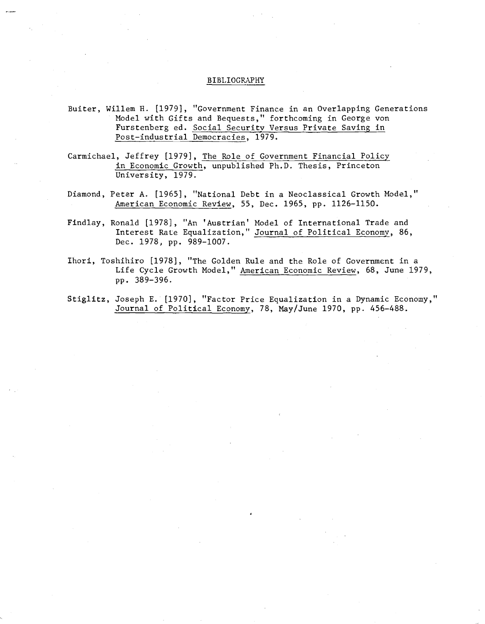### BIBLIOGRAPHY

- Buiter, Willem H. [1979], "Government Finance in an Overlapping Generations Model with Gifts and Bequests," forthcoming in George von Furstenberg ed. Social Security Versus Private Saving in Post-industrial Democracies, 1979.
- Carmichael, Jeffrey [1979], The Role of Government Financial Policy in Economic Growth, unpublished Ph.D. Thesis, Princeton University, 1979.
- Diamond, Peter A. [1965], "National Debt in a Neoclassical Growth Model," American Economic Review, 55, Dec. 1965, pp. 1126-1150.
- Findlay, Ronald [1978], "An 'Austrian' Model of International Trade and Interest Rate Equalization," Journal of Political Economy, 86, Dec. 1978, pp. 989-1007.
- Ihori, Toshihiro [1978], "The Golden Rule and the Role of Government in a Life Cycle Growth Model," American Economic Review, 68, June 1979, pp. 389-396.
- Stiglitz, Joseph E. [1970], "Factor Price Equalization in a Dynamic Economy," Journal of Political Economy, 78, May/June 1970, pp. 456-488.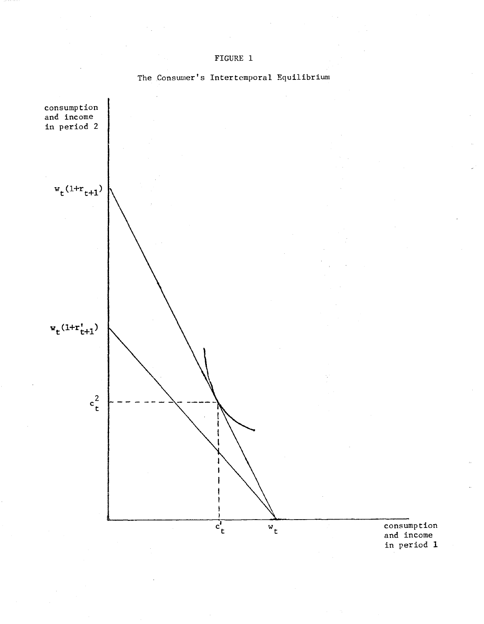



The Consumer's Intertemporal Equilibrium

consumption and income in period 1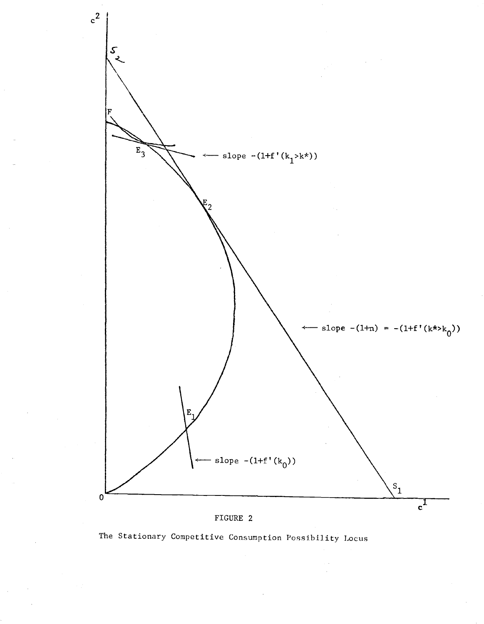



The Stationary Competitive Consumption Possibility Locus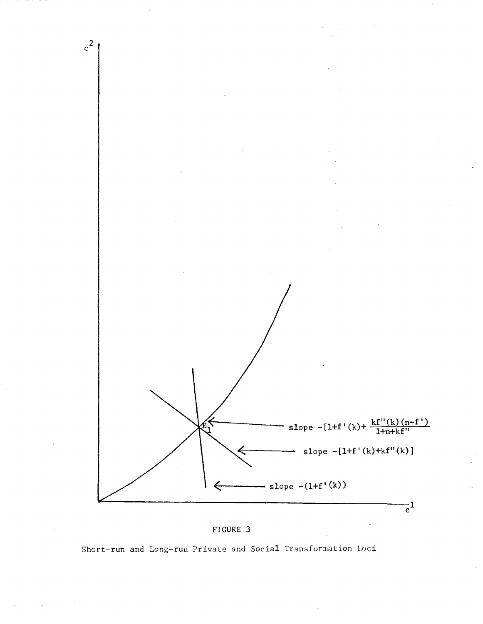



Short-run and Long-run Private and Social Transformation Loci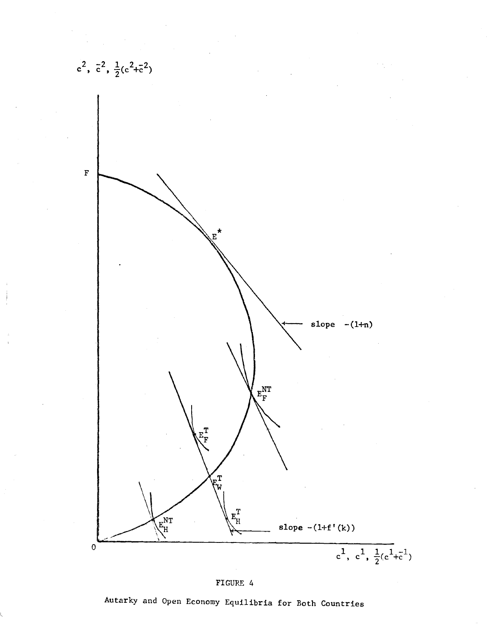

FIGURE 4

Autarky and Open Economy Equilibria for Both Countries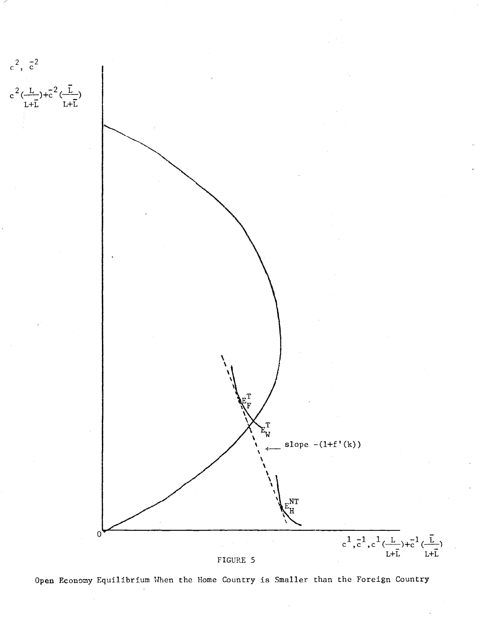

Open Economy Equilibrium When the Home Country is Smaller than the Foreign Country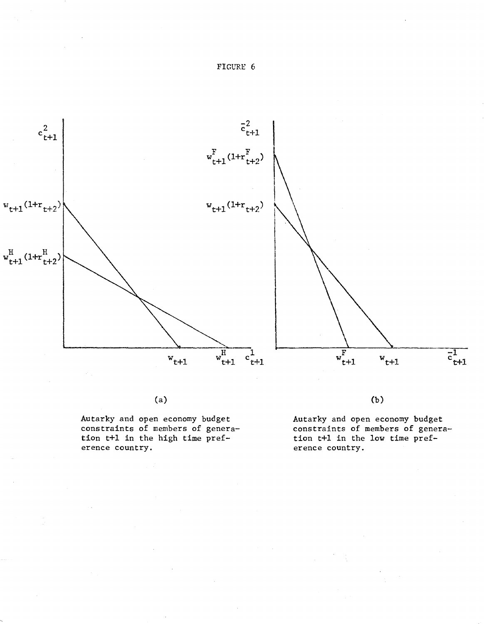



(a)

Autarky and open economy budget constraints of members of generation t+l in the high time preference country.

(b)

Autarky and open economy budget constraints of members of generation t+l in the low time preference country.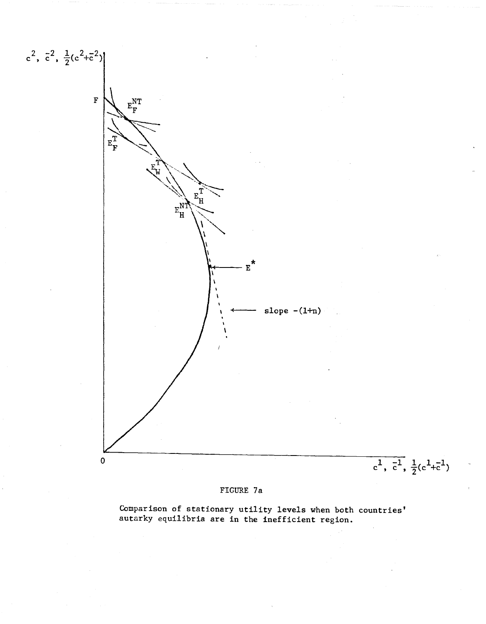![](_page_45_Figure_0.jpeg)

# FIGURE 7a

Comparison of stationary utility levels when both countries' autarky equilibria are in the inefficient region.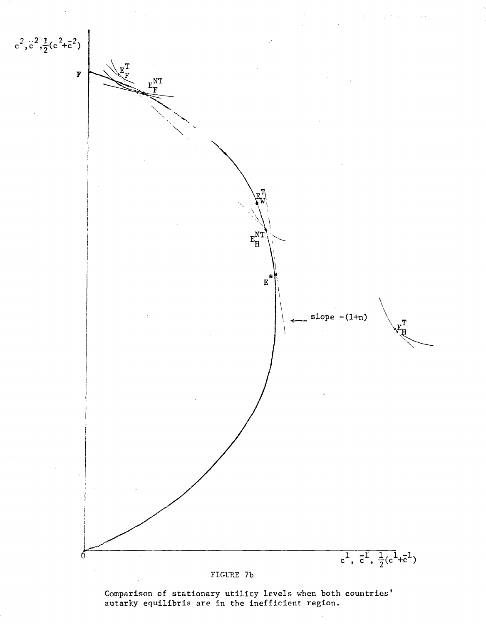![](_page_46_Figure_0.jpeg)

Comparison of stationary utility levels when both countries' autarky equilibria are in the inefficient region.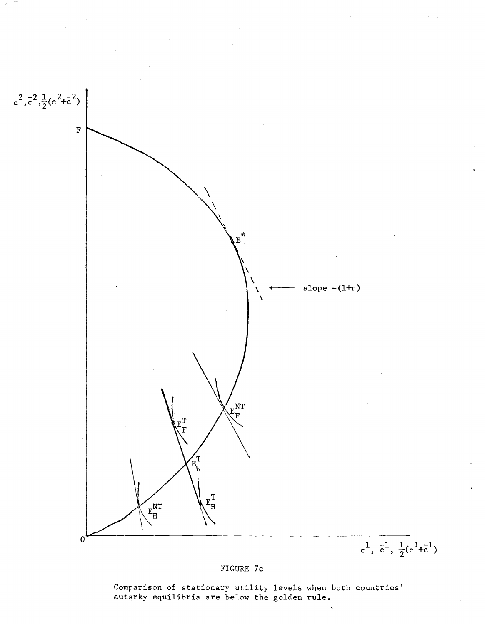![](_page_47_Figure_0.jpeg)

FIGURE 7c

Comparison of stationary utility levels when both countries' autarky equilibria are below the golden rule.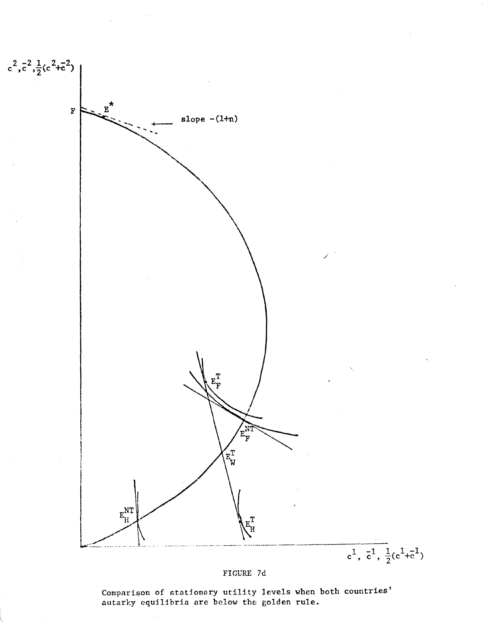![](_page_48_Figure_0.jpeg)

![](_page_48_Figure_1.jpeg)

Comparison of stationary utility levels when both countries' autarky equilibria are below the golden rule.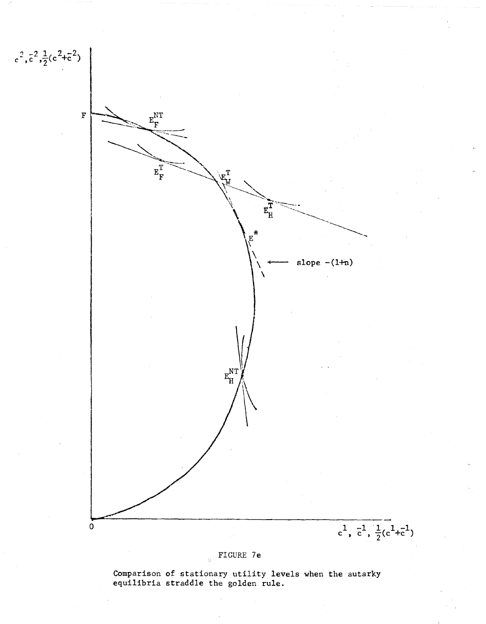![](_page_49_Figure_0.jpeg)

Comparison of stationary utility levels when the autarky equilibria straddle the golden rule.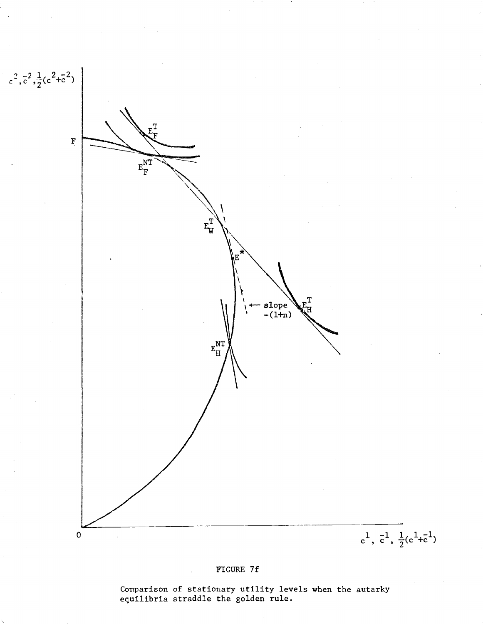![](_page_50_Figure_0.jpeg)

# FIGURE 7f

Comparison of stationary utility levels when the autarky equilibria straddle the golden rule.